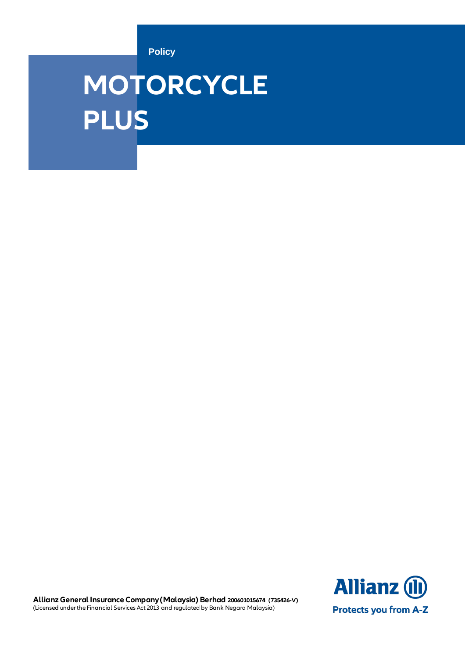**Policy**

# **MOTORCYCLE PLUS**

**Allianz (l) Protects you from A-Z** 

 **Allianz General Insurance Company (Malaysia) Berhad 200601015674 (735426-V)** (Licensed under the Financial Services Act 2013 and regulated by Bank Negara Malaysia)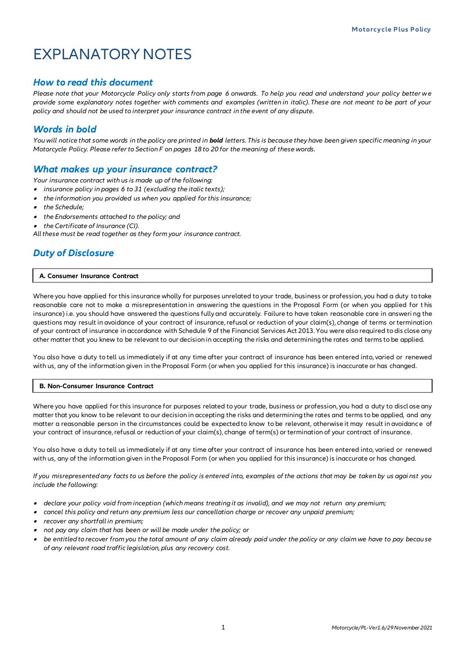## EXPLANATORY NOTES

#### *How to read this document*

*Please note that your Motorcycle Policy only starts from page 6 onwards. To help you read and understand your policy better we provide some explanatory notes together with comments and examples (written in italic). These are not meant to be part of your policy and should not be used to interpret your insurance contract in the event of any dispute.*

## *Words in bold*

*You will notice that some words in the policy are printed in bold letters. This is because they have been given specific meaning in your Motorcycle Policy. Please refer to Section F on pages 18 to 20 for the meaning of these words.*

#### *What makes up your insurance contract?*

*Your insurance contract with us is made up of the following:*

- •*insurance policy in pages 6 to 31 (excluding the italic texts);*
- •*the information you provided us when you applied for this insurance;*
- •*the Schedule;*
- *the Endorsements attached to the policy; and*
- •*the Certificate of Insurance (CI).*

*All these must be read together as they form your insurance contract.*

### *Duty of Disclosure*

#### **A. Consumer Insurance Contract**

Where you have applied for this insurance wholly for purposes unrelated to your trade, business or profession, you had a duty to take reasonable care not to make a misrepresentation in answering the questions in the Proposal Form (or when you applied for t his insurance) i.e. you should have answered the questions fully and accurately. Failure to have taken reasonable care in answeri ng the questions may result in avoidance of your contract of insurance, refusal or reduction of your claim(s), change of terms or termination of your contract of insurance in accordance with Schedule 9 of the Financial Services Act 2013. You were also required to dis close any other matter that you knew to be relevant to our decision in accepting the risks and determining the rates and terms to be applied.

You also have a duty to tell us immediately if at any time after your contract of insurance has been entered into, varied or renewed with us, any of the information given in the Proposal Form (or when you applied for this insurance) is inaccurate or has changed.

#### **B. Non-Consumer Insurance Contract**

Where you have applied for this insurance for purposes related to your trade, business or profession, you had a duty to discl ose any matter that you know to be relevant to our decision in accepting the risks and determining the rates and terms to be applied, and any matter a reasonable person in the circumstances could be expected to know to be relevant, otherwise it may result in avoidance of your contract of insurance, refusal or reduction of your claim(s), change of term(s) or termination of your contract of insurance.

You also have a duty to tell us immediately if at any time after your contract of insurance has been entered into, varied or renewed with us, any of the information given in the Proposal Form (or when you applied for this insurance) is inaccurate or has changed.

*If you misrepresented any facts to us before the policy is entered into, examples of the actions that may be taken by us agai nst you include the following:*

- *declare your policy void from inception (which means treating it as invalid), and we may not return any premium;*
- •*cancel this policy and return any premium less our cancellation charge or recover any unpaid premium;*
- •*recover any shortfall in premium;*
- •*not pay any claim that has been or will be made under the policy; or*
- • *be entitled to recover from you the total amount of any claim already paid under the policy or any claim we have to pay because of any relevant road traffic legislation, plus any recovery cost.*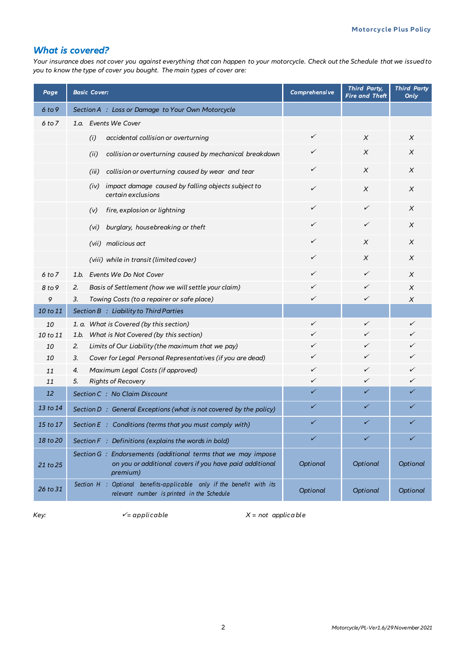### *What is covered?*

*Your insurance does not cover you against everything that can happen to your motorcycle. Check out the Schedule that we issued to you to know the type of cover you bought. The main types of cover are:*

| Page     | <b>Basic Cover:</b>                                                                                                                  | Comprehensive | <b>Third Party,</b><br><b>Fire and Theft</b> | <b>Third Party</b><br>Only |
|----------|--------------------------------------------------------------------------------------------------------------------------------------|---------------|----------------------------------------------|----------------------------|
| 6 to 9   | Section A : Loss or Damage to Your Own Motorcycle                                                                                    |               |                                              |                            |
| 6 to 7   | 1.a. Events We Cover                                                                                                                 |               |                                              |                            |
|          | accidental collision or overturning<br>(i)                                                                                           | ✓             | X                                            | X                          |
|          | collision or overturning caused by mechanical breakdown<br>(ii)                                                                      | ✓             | X                                            | X                          |
|          | collision or overturning caused by wear and tear<br>(iii)                                                                            | ✓             | X                                            | X                          |
|          | impact damage caused by falling objects subject to<br>(iv)<br>certain exclusions                                                     | ✓             | X                                            | X                          |
|          | fire, explosion or lightning<br>(v)                                                                                                  | ✓             | ✓                                            | X                          |
|          | (vi) burglary, housebreaking or theft                                                                                                | ✓             | ✓                                            | $\chi$                     |
|          | (vii) malicious act                                                                                                                  | ✓             | X                                            | X                          |
|          | (viii) while in transit (limited cover)                                                                                              | ✓             | Χ                                            | X                          |
| 6 to 7   | 1.b. Events We Do Not Cover                                                                                                          | ✓             | ✓                                            | X                          |
| 8 to 9   | Basis of Settlement (how we will settle your claim)<br>2.                                                                            | ✓             | ✓                                            | X                          |
| 9        | 3.<br>Towing Costs (to a repairer or safe place)                                                                                     | ✓             | ✓                                            | X                          |
| 10 to 11 | Section B : Liability to Third Parties                                                                                               |               |                                              |                            |
| 10       | 1. a. What is Covered (by this section)                                                                                              | ✓             | ✓                                            | ✓                          |
| 10 to 11 | What is Not Covered (by this section)<br>1.b.                                                                                        | ✓             | ✓                                            |                            |
| 10       | Limits of Our Liability (the maximum that we pay)<br>2.                                                                              | ✓             | ✓                                            | ✓                          |
| 10       | Cover for Legal Personal Representatives (if you are dead)<br>3.                                                                     | ✓             | ✓                                            |                            |
| 11       | Maximum Legal Costs (if approved)<br>4.                                                                                              | ✓             | ✓                                            | ✓                          |
| 11       | 5.<br><b>Rights of Recovery</b>                                                                                                      | ✓             | ✓                                            |                            |
| 12       | Section C : No Claim Discount                                                                                                        | ✓             | ✓                                            |                            |
| 13 to 14 | Section D: General Exceptions (what is not covered by the policy)                                                                    | ✓             | ✓                                            |                            |
| 15 to 17 | Section $E :$ Conditions (terms that you must comply with)                                                                           | ✓             | ✓                                            | ✓                          |
| 18 to 20 | Section F: Definitions (explains the words in bold)                                                                                  | ✓             | ✓                                            | ✓                          |
| 21 to 25 | Section G : Endorsements (additional terms that we may impose<br>on you or additional covers if you have paid additional<br>premium) | Optional      | Optional                                     | Optional                   |
| 26 to 31 | Section H : Optional benefits-applicable only if the benefit with its<br>relevant number is printed in the Schedule                  | Optional      | Optional                                     | Optional                   |

 $K$ ey:  $K$  = *not applicable*  $K$  = not *applicable*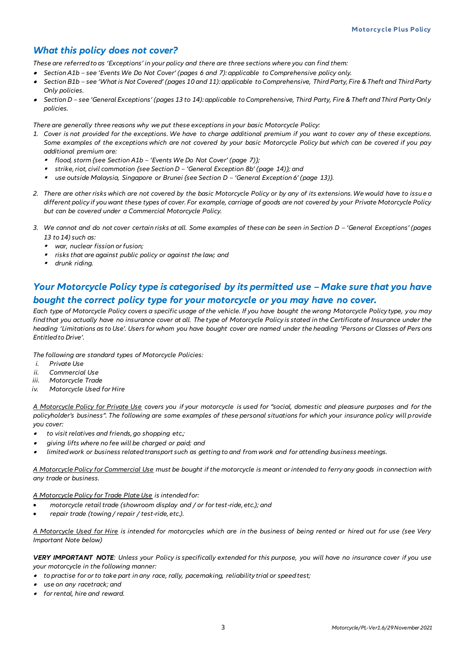#### *What this policy does not cover?*

*These are referred to as 'Exceptions' in your policy and there are three sections where you can find them:*

- *Section A1b – see 'Events We Do Not Cover' (pages 6 and 7): applicable to Comprehensive policy only.*
- • *Section B1b – see 'What is Not Covered' (pages 10 and 11): applicable to Comprehensive, Third Party, Fire & Theft and Third Party Only policies.*
- • *Section D – see 'General Exceptions' (pages 13 to 14): applicable to Comprehensive, Third Party, Fire & Theft and Third Party Only policies.*

*There are generally three reasons why we put these exceptions in your basic Motorcycle Policy:*

- *1. Cover is not provided for the exceptions. We have to charge additional premium if you want to cover any of these exceptions. Some examples of the exceptions which are not covered by your basic Motorcycle Policy but which can be covered if you pay additional premium are:*
	- *flood, storm {see Section A1b – 'Events We Do Not Cover' (page 7)};*
	- *strike, riot, civil commotion {see Section D – 'General Exception 8b' (page 14)}; and*
	- *use outside Malaysia, Singapore or Brunei {see Section D – 'General Exception 6' (page 13)}.*
- *2. There are other risks which are not covered by the basic Motorcycle Policy or by any of its extensions. We would have to issu e a different policy if you want these types of cover. For example, carriage of goods are not covered by your Private Motorcycle Policy but can be covered under a Commercial Motorcycle Policy.*
- 3. We cannot and do not cover certain risks at all. Some examples of these can be seen in Section D 'General Exceptions' (pages *13 to 14) such as:*
	- *war, nuclear fission or fusion;*
	- *risks that are against public policy or against the law; and*
	- *drunk riding.*

## *Your Motorcycle Policy type is categorised by its permitted use - Make sure that you have bought the correct policy type for your motorcycle or you may have no cover.*

*Each type of Motorcycle Policy covers a specific usage of the vehicle. If you have bought the wrong Motorcycle Policy type, you may find that you actually have no insurance cover at all. The type of Motorcycle Policy is stated in the Certificate of Insurance under the heading 'Limitations as to Use'. Users for whom you have bought cover are named under the heading 'Persons or Classes of Pers ons Entitled to Drive'.*

*The following are standard types of Motorcycle Policies:*

- *i. Private Use*
- *ii. Commercial Use*
- *iii. Motorcycle Trade*
- *iv. Motorcycle Used for Hire*

*A Motorcycle Policy for Private Use covers you if your motorcycle is used for "social, domestic and pleasure purposes and for the policyholder's business". The following are some examples of these personal situations for which your insurance policy will provide you cover:* 

- • *to visit relatives and friends, go shopping etc.;*
- • *giving lifts where no fee will be charged or paid; and*
- • *limited work or business related transport such as getting to and from work and for attending business meetings.*

*A Motorcycle Policy for Commercial Use must be bought if the motorcycle is meant or intended to ferry any goods in connection with any trade or business.*

#### *A Motorcycle Policy for Trade Plate Use is intended for:*

- *motorcycle retail trade (showroom display and / or for test-ride, etc.); and*
- *repair trade (towing / repair / test-ride, etc.).*

*A Motorcycle Used for Hire is intended for motorcycles which are in the business of being rented or hired out for use (see Very Important Note below)*

*VERY IMPORTANT NOTE: Unless your Policy is specifically extended for this purpose, you will have no insurance cover if you use your motorcycle in the following manner:*

- *to practise for or to take part in any race, rally, pacemaking, reliability trial or speed test;*
- •*use on any racetrack; and*
- *for rental, hire and reward.*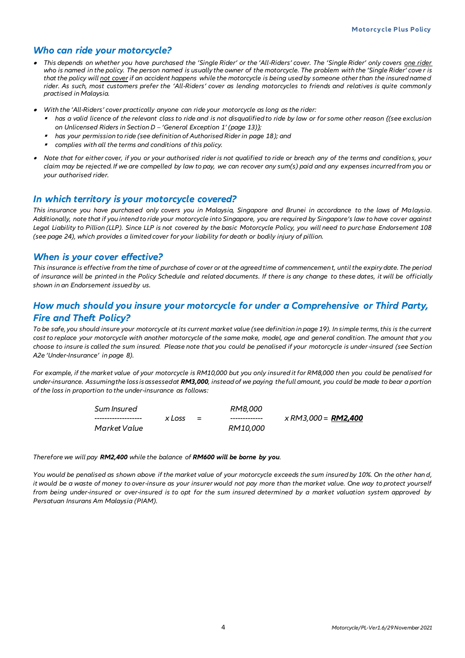#### *Who can ride your motorcycle?*

- *This depends on whether you have purchased the 'Single Rider' or the 'All-Riders' cover. The 'Single Rider' only covers one rider who is named in the policy. The person named is usually the owner of the motorcycle. The problem with the 'Single Rider' cove r is that the policy will not cover if an accident happens while the motorcycle is being used by someone other than the insured name d rider. As such, most customers prefer the 'All-Riders' cover as lending motorcycles to friends and relatives is quite commonly practised in Malaysia.*
- • *With the 'All-Riders' cover practically anyone can ride your motorcycle as long as the rider:*
	- ▪ *has a valid licence of the relevant class to ride and is not disqualified to ride by law or for some other reason {(see exclusion on Unlicensed Riders in Section D – 'General Exception 1' (page 13)};*
	- ▪*has your permission to ride (see definition of Authorised Rider in page 18); and*
	- ▪*complies with all the terms and conditions of this policy.*
- *Note that for either cover, if you or your authorised rider is not qualified to ride or breach any of the terms and condition s, your claim may be rejected. If we are compelled by law to pay, we can recover any sum(s) paid and any expenses incurred from you or your authorised rider.*

#### *In which territory is your motorcycle covered?*

*This insurance you have purchased only covers you in Malaysia, Singapore and Brunei in accordance to the laws of Malaysia. Additionally, note that if you intend to ride your motorcycle into Singapore, you are required by Singapore's law to have cover against Legal Liability to Pillion (LLP). Since LLP is not covered by the basic Motorcycle Policy, you will need to purchase Endorsement 108 (see page 24), which provides a limited cover for your liability for death or bodily injury of pillion.* 

#### *When is your cover effective?*

*This insurance is effective from the time of purchase of cover or at the agreed time of commencement, until the expiry date. The period of insurance will be printed in the Policy Schedule and related documents. If there is any change to these dates, it will be officially shown in an Endorsement issued by us.*

#### *How much should you insure your motorcycle for under a Comprehensive or Third Party, Fire and Theft Policy?*

*To be safe, you should insure your motorcycle at its current market value (see definition in page 19). In simple terms, this is the current cost to replace your motorcycle with another motorcycle of the same make, model, age and general condition. The amount that you choose to insure is called the sum insured. Please note that you could be penalised if your motorcycle is under-insured (see Section A2e 'Under-Insurance' in page 8).*

*For example, if the market value of your motorcycle is RM10,000 but you only insured it for RM8,000 then you could be penalised for under-insurance. Assuming the loss is assessed at RM3,000, instead of we paying the full amount, you could be made to bear a portion of the loss in proportion to the under-insurance as follows:*

| Sum Insured  |        |     | <i>RM8.000</i>  |                            |
|--------------|--------|-----|-----------------|----------------------------|
|              | x Loss | $=$ | --------------  | x RM3,000 = <b>RM2,400</b> |
| Market Value |        |     | <i>RM10.000</i> |                            |

#### *Therefore we will pay RM2,400 while the balance of RM600 will be borne by you.*

*You would be penalised as shown above if the market value of your motorcycle exceeds the sum insured by 10%. On the other han d,*  it would be a waste of money to over-insure as your insurer would not pay more than the market value. One way to protect yourself *from being under-insured or over-insured is to opt for the sum insured determined by a market valuation system approved by Persatuan Insurans Am Malaysia (PIAM).*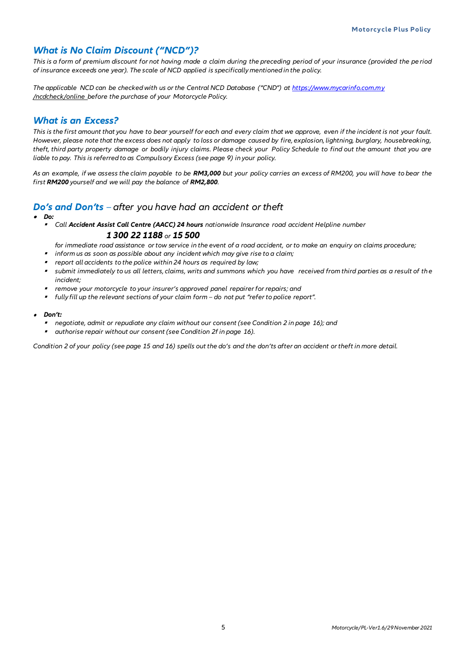### *What is No Claim Discount ("NCD")?*

*This is a form of premium discount for not having made a claim during the preceding period of your insurance (provided the pe riod of insurance exceeds one year). The scale of NCD applied is specifically mentioned in the policy.*

*The applicable NCD can be checked with us or the Central NCD Database ("CND") at [https://www.mycarinfo.com.my](https://www.mycarinfo.com.my/) /ncdcheck/online before the purchase of your Motorcycle Policy.* 

#### *What is an Excess?*

*This is the first amount that you have to bear yourself for each and every claim that we approve, even if the incident is not your fault. However, please note that the excess does not apply to loss or damage caused by fire, explosion, lightning, burglary, housebreaking, theft, third party property damage or bodily injury claims. Please check your Policy Schedule to find out the amount that you are liable to pay. This is referred to as Compulsory Excess (see page 9) in your policy.* 

*As an example, if we assess the claim payable to be RM3,000 but your policy carries an excess of RM200, you will have to bear the first RM200 yourself and we will pay the balance of RM2,800.*

#### *Do's and Don'ts – after you have had an accident or theft*

- *Do:*
	- *Call Accident Assist Call Centre (AACC) 24 hours nationwide Insurance road accident Helpline number 1 300 22 1188 or 15 500*

*for immediate road assistance or tow service in the event of a road accident, or to make an enquiry on claims procedure;*

- *inform us as soon as possible about any incident which may give rise to a claim;*
- *report all accidents to the police within 24 hours as required by law;*
- *submit immediately to us all letters, claims, writs and summons which you have received from third parties as a result of the incident;*
- *remove your motorcycle to your insurer's approved panel repairer for repairs; and*
- *fully fill up the relevant sections of your claim form – do not put "refer to police report".*

#### • *Don't:*

- *negotiate, admit or repudiate any claim without our consent (see Condition 2 in page 16); and*
- *authorise repair without our consent (see Condition 2f in page 16).*

*Condition 2 of your policy (see page 15 and 16) spells out the do's and the don'ts after an accident or theft in more detail.*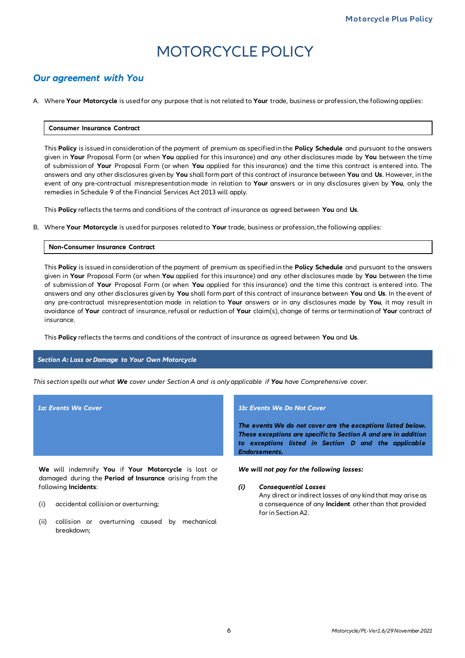## MOTORCYCLE POLICY

#### *Our agreement with You*

A. Where **Your Motorcycle** is used for any purpose that is not related to **Your** trade, business or profession, the following applies:

#### **Consumer Insurance Contract**

This **Policy** is issued in consideration of the payment of premium as specified in the **Policy Schedule** and pursuant to the answers given in **Your** Proposal Form (or when **You** applied for this insurance) and any other disclosures made by **You** between the time of submission of **Your** Proposal Form (or when **You** applied for this insurance) and the time this contract is entered into. The answers and any other disclosures given by **You** shall form part of this contract of insurance between **You** and **Us**. However, in the event of any pre-contractual misrepresentation made in relation to **Your** answers or in any disclosures given by **You**, only the remedies in Schedule 9 of the Financial Services Act 2013 will apply.

This **Policy** reflects the terms and conditions of the contract of insurance as agreed between **You** and **Us**.

B. Where **Your Motorcycle** is used for purposes related to **Your** trade, business or profession, the following applies:

#### **Non-Consumer Insurance Contract**

This **Policy** is issued in consideration of the payment of premium as specified in the **Policy Schedule** and pursuant to the answers given in **Your** Proposal Form (or when **You** applied for this insurance) and any other disclosures made by **You** between the time of submission of **Your** Proposal Form (or when **You** applied for this insurance) and the time this contract is entered into. The answers and any other disclosures given by **You** shall form part of this contract of insurance between **You** and **Us**. In the event of any pre-contractual misrepresentation made in relation to **Your** answers or in any disclosures made by **You**, it may result in avoidance of **Your** contract of insurance, refusal or reduction of **Your** claim(s), change of terms or termination of **Your** contract of insurance.

This **Policy** reflects the terms and conditions of the contract of insurance as agreed between **You** and **Us**.

#### *Section A: Loss or Damage to Your Own Motorcycle*

*This section spells out what We cover under Section A and is only applicable if You have Comprehensive cover.*

**We** will indemnify **You** if **Your Motorcycle** is lost or damaged during the **Period of Insurance** arising from the following **Incidents**:

- (i) accidental collision or overturning;
- (ii) collision or overturning caused by mechanical breakdown;

#### *1a: Events We Cover 1b: Events We Do Not Cover*

*The events We do not cover are the exceptions listed below. These exceptions are specific to Section A and are in addition to exceptions listed in Section D and the applicable Endorsements.*

*We will not pay for the following losses:*

#### *(i) Consequential Losses*

Any direct or indirect losses of any kind that may arise as a consequence of any **Incident** other than that provided for in Section A2.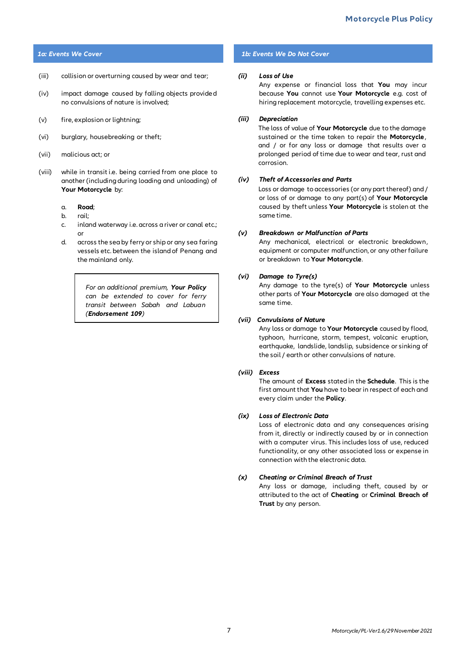- (iii) collision or overturning caused by wear and tear;
- (iv) impact damage caused by falling objects provide d no convulsions of nature is involved;
- (v) fire, explosion or lightning;
- (vi) burglary, housebreaking or theft;
- (vii) malicious act; or
- (viii) while in transit i.e. being carried from one place to another (including during loading and unloading) of **Your Motorcycle** by:
	- a. **Road**;
	- b. rail;
	- c. inland waterway i.e. across a river or canal etc.; or
	- d. across the sea by ferry or ship or any sea faring vessels etc. between the island of Penang and the mainland only.

*For an additional premium, Your Policy can be extended to cover for ferry transit between Sabah and Labuan (Endorsement 109)*

#### *1a: Events We Cover 1b: Events We Do Not Cover*

#### *(ii) Loss of Use*

Any expense or financial loss that **You** may incur because **You** cannot use **Your Motorcycle** e.g. cost of hiring replacement motorcycle, travelling expenses etc.

#### *(iii) Depreciation*

The loss of value of **Your Motorcycle** due to the damage sustained or the time taken to repair the **Motorcycle**, and / or for any loss or damage that results over a prolonged period of time due to wear and tear, rust and corrosion.

#### *(iv) Theft of Accessories and Parts*

Loss or damage to accessories (or any part thereof) and / or loss of or damage to any part(s) of **Your Motorcycle** caused by theft unless **Your Motorcycle** is stolen at the same time.

#### *(v) Breakdown or Malfunction of Parts*

Any mechanical, electrical or electronic breakdown, equipment or computer malfunction, or any other failure or breakdown to **Your Motorcycle**.

#### *(vi) Damage to Tyre(s)*

Any damage to the tyre(s) of **Your Motorcycle** unless other parts of **Your Motorcycle** are also damaged at the same time.

#### *(vii)**Convulsions of Nature*

Any loss or damage to **Your Motorcycle** caused by flood, typhoon, hurricane, storm, tempest, volcanic eruption, earthquake, landslide, landslip, subsidence or sinking of the soil / earth or other convulsions of nature.

#### *(viii) Excess*

The amount of **Excess** stated in the **Schedule**. This is the first amount that **You** have to bear in respect of each and every claim under the **Policy**.

#### *(ix) Loss of Electronic Data*

Loss of electronic data and any consequences arising from it, directly or indirectly caused by or in connection with a computer virus. This includes loss of use, reduced functionality, or any other associated loss or expense in connection with the electronic data.

#### *(x) Cheating or Criminal Breach of Trust*

Any loss or damage, including theft, caused by or attributed to the act of **Cheating** or **Criminal Breach of Trust** by any person.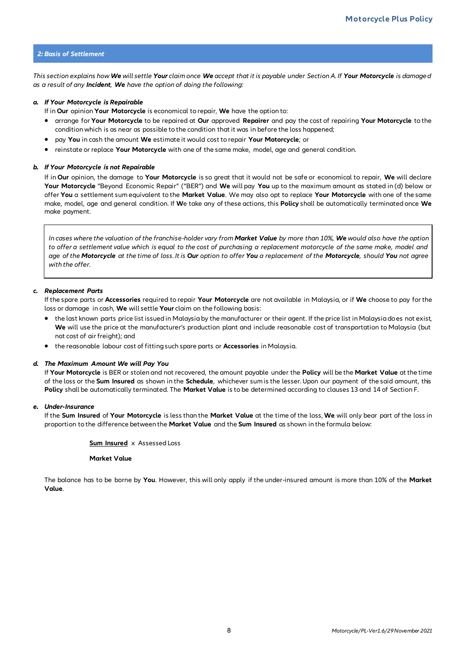#### *2: Basis of Settlement*

*This section explains how We will settle Your claim once We accept that it is payable under Section A. If Your Motorcycle is damage d as a result of any Incident, We have the option of doing the following:*

#### *a. If Your Motorcycle is Repairable*

If in **Our** opinion **Your Motorcycle** is economical to repair, **We** have the option to:

- arrange for **Your Motorcycle** to be repaired at **Our** approved **Repairer** and pay the cost of repairing **Your Motorcycle** to the condition which is as near as possible to the condition that it was in before the loss happened;
- pay **You** in cash the amount **We** estimate it would cost to repair **Your Motorcycle**; or
- reinstate or replace **Your Motorcycle** with one of the same make, model, age and general condition.

#### *b. If Your Motorcycle is not Repairable*

If in **Our** opinion, the damage to **Your Motorcycle** is so great that it would not be safe or economical to repair, **We** will declare **Your Motorcycle** "Beyond Economic Repair" ("BER") and **We** will pay **You** up to the maximum amount as stated in (d) below or offer **You** a settlement sum equivalent to the **Market Value**. We may also opt to replace **Your Motorcycle** with one of the same make, model, age and general condition. If **W**e take any of these actions, this **Policy** shall be automatically terminated once **We** make payment.

*In cases where the valuation of the franchise-holder vary from Market Value by more than 10%, We would also have the option to offer a settlement value which is equal to the cost of purchasing a replacement motorcycle of the same make, model and age of the Motorcycle at the time of loss. It is Our option to offer You a replacement of the Motorcycle, should You not agree with the offer.*

#### *c. Replacement Parts*

If the spare parts or **Accessories** required to repair **Your Motorcycle** are not available in Malaysia, or if **We** choose to pay for the loss or damage in cash, **We** will settle **Your** claim on the following basis:

- the last known parts price list issued in Malaysia by the manufacturer or their agent. If the price list in Malaysia does not exist, **We** will use the price at the manufacturer's production plant and include reasonable cost of transportation to Malaysia (but not cost of air freight); and
- the reasonable labour cost of fitting such spare parts or **Accessories** in Malaysia.

#### *d. The Maximum Amount We will Pay You*

If **Your Motorcycle** is BER or stolen and not recovered, the amount payable under the **Policy** will be the **Market Value** at the time of the loss or the **Sum Insured** as shown in the **Schedule**, whichever sum is the lesser. Upon our payment of the said amount, this **Policy** shall be automatically terminated. The **Market Value** is to be determined according to clauses 13 and 14 of Section F.

#### *e. Under-Insurance*

If the **Sum Insured** of **Your Motorcycle** is less than the **Market Value** at the time of the loss, **We** will only bear part of the loss in proportion to the difference between the **Market Value** and the **Sum Insured** as shown in the formula below:

#### **Sum Insured** xAssessed Loss

#### **Market Value**

The balance has to be borne by **You**. However, this will only apply if the under-insured amount is more than 10% of the **Market Value**.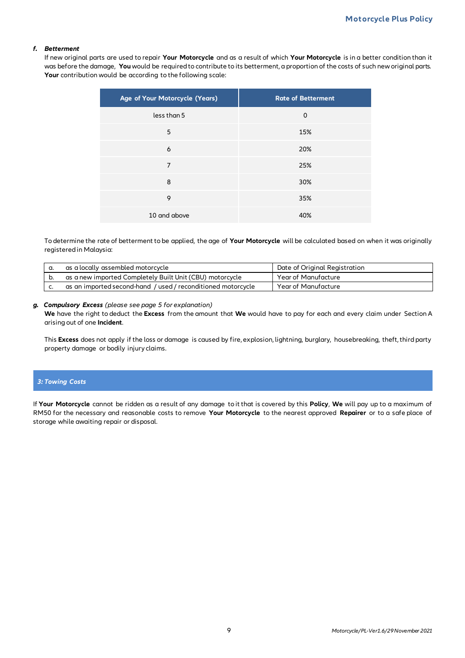#### *f. Betterment*

If new original parts are used to repair **Your Motorcycle** and as a result of which **Your Motorcycle** is in a better condition than it was before the damage, You would be required to contribute to its betterment, a proportion of the costs of such new original parts. **Your** contribution would be according to the following scale:

| Age of Your Motorcycle (Years) | <b>Rate of Betterment</b> |
|--------------------------------|---------------------------|
| less than 5                    | $\Omega$                  |
| 5                              | 15%                       |
| 6                              | 20%                       |
| 7                              | 25%                       |
| 8                              | 30%                       |
| 9                              | 35%                       |
| 10 and above                   | 40%                       |

To determine the rate of betterment to be applied, the age of **Your Motorcycle** will be calculated based on when it was originally registered in Malaysia:

| as a locally assembled motorcycle                          | Date of Original Registration |
|------------------------------------------------------------|-------------------------------|
| as a new imported Completely Built Unit (CBU) motorcycle   | Year of Manufacture           |
| as an imported second-hand / used/reconditioned motorcycle | Year of Manufacture           |

#### *g. Compulsory Excess (please see page 5 for explanation)*

**We** have the right to deduct the **Excess** from the amount that **We** would have to pay for each and every claim under Section A arising out of one **Incident**.

This **Excess** does not apply if the loss or damage is caused by fire, explosion, lightning, burglary, housebreaking, theft, third party property damage or bodily injury claims.

#### *3: Towing Costs*

If **Your Motorcycle** cannot be ridden as a result of any damage to it that is covered by this **Policy**, **We** will pay up to a maximum of RM50 for the necessary and reasonable costs to remove **Your Motorcycle** to the nearest approved **Repairer** or to a safe place of storage while awaiting repair or disposal.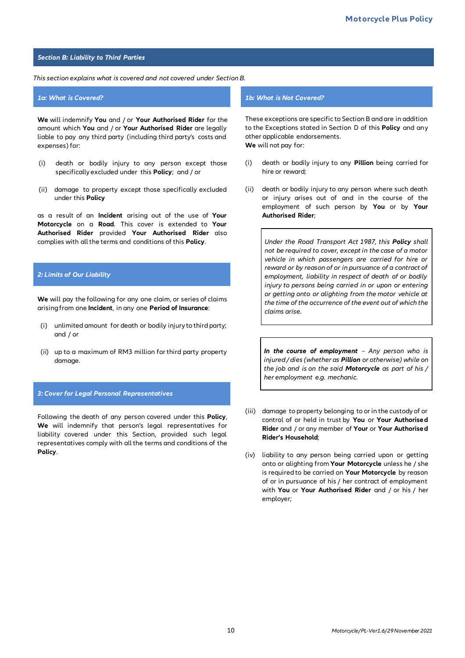#### *Section B: Liability to Third Parties*

#### *This section explains what is covered and not covered under Section B.*

**We** will indemnify **You** and / or **Your Authorised Rider** for the amount which **You** and / or **Your Authorised Rider** are legally liable to pay any third party (including third party's costs and expenses) for:

- (i) death or bodily injury to any person except those specifically excluded under this **Policy**;and / or
- (ii) damage to property except those specifically excluded under this **Policy**

as a result of an **Incident** arising out of the use of **Your Motorcycle** on a **Road**. This cover is extended to **Your Authorised Rider** provided **Your Authorised Rider** also complies with all the terms and conditions of this **Policy**.

#### *2: Limits of Our Liability*

**We** will pay the following for any one claim, or series of claims arising from one **Incident**, in any one **Period of Insurance**:

- (i) unlimited amount for death or bodily injury to third party; and / or
- (ii) up to a maximum of RM3 million for third party property damage.

#### *3: Cover for Legal Personal Representatives*

Following the death of any person covered under this **Policy**, **We** will indemnify that person's legal representatives for liability covered under this Section, provided such legal representatives comply with all the terms and conditions of the **Policy**.

#### *1a: What is Covered? 1b: What is Not Covered?*

These exceptions are specific to Section B and are in addition to the Exceptions stated in Section D of this **Policy** and any other applicable endorsements. **We** will not pay for:

- (i) death or bodily injury to any **Pillion** being carried for hire or reward;
- (ii) death or bodily injury to any person where such death or injury arises out of and in the course of the employment of such person by **You** or by **Your Authorised Rider**;

*Under the Road Transport Act 1987, this Policy shall not be required to cover, except in the case of a motor vehicle in which passengers are carried for hire or reward or by reason of or in pursuance of a contract of employment, liability in respect of death of or bodily injury to persons being carried in or upon or entering or getting onto or alighting from the motor vehicle at the time of the occurrence of the event out of which the claims arise.*

*In the course of employment – Any person who is injured / dies (whether as Pillion or otherwise) while on the job and is on the said Motorcycle as part of his / her employment e.g. mechanic.*

- (iii) damage to property belonging to or in the custody of or control of or held in trust by **You** or **Your Authorised Rider** and / or any member of **Your** or **Your Authorised Rider's Household**;
- (iv) liability to any person being carried upon or getting onto or alighting from **Your Motorcycle** unless he / she is required to be carried on **Your Motorcycle** by reason of or in pursuance of his / her contract of employment with **You** or **Your Authorised Rider** and / or his / her employer;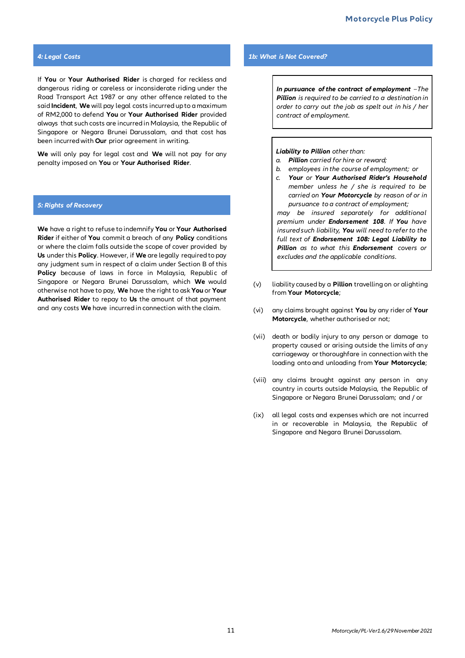If **You** or **Your Authorised Rider** is charged for reckless and dangerous riding or careless or inconsiderate riding under the Road Transport Act 1987 or any other offence related to the said **Incident**, **We** will pay legal costs incurred up to a maximum of RM2,000 to defend **You** or **Your Authorised Rider** provided always that such costs are incurred in Malaysia, the Republic of Singapore or Negara Brunei Darussalam, and that cost has been incurred with **Our** prior agreement in writing.

**We** will only pay for legal cost and **We** will not pay for any penalty imposed on **You** or **Your Authorised Rider**.

#### *5: Rights of Recovery*

**We** have a right to refuse to indemnify **You** or **Your Authorised Rider** if either of **You** commit a breach of any **Policy** conditions or where the claim falls outside the scope of cover provided by **Us** under this **Policy**. However, if **We** are legally required to pay any judgment sum in respect of a claim under Section B of this **Policy** because of laws in force in Malaysia, Republic of Singapore or Negara Brunei Darussalam, which **We** would otherwise not have to pay, **We** have the right to ask **You** or **Your Authorised Rider** to repay to **Us** the amount of that payment and any costs **We** have incurred in connection with the claim.

#### *4: Legal Costs 1b: What is Not Covered?*

*In pursuance of the contract of employment –The Pillion is required to be carried to a destination in order to carry out the job as spelt out in his / her contract of employment.*

#### *Liability to Pillion other than:*

- *a. Pillion carried for hire or reward;*
- *b. employees in the course of employment; or*
- *c. Your or Your Authorised Rider's Household member unless he / she is required to be carried on Your Motorcycle by reason of or in pursuance to a contract of employment;*

*may be insured separately for additional premium under Endorsement 108. If You have insured such liability, You will need to refer to the full text of Endorsement 108: Legal Liability to Pillion as to what this Endorsement covers or excludes and the applicable conditions.*

- (v) liability caused by a **Pillion** travelling on or alighting from **Your Motorcycle**;
- (vi) any claims brought against **You** by any rider of **Your Motorcycle**, whether authorised or not;
- (vii) death or bodily injury to any person or damage to property caused or arising outside the limits of any carriageway or thoroughfare in connection with the loading onto and unloading from **Your Motorcycle**;
- (viii) any claims brought against any person in any country in courts outside Malaysia, the Republic of Singapore or Negara Brunei Darussalam; and / or
- (ix) all legal costs and expenses which are not incurred in or recoverable in Malaysia, the Republic of Singapore and Negara Brunei Darussalam.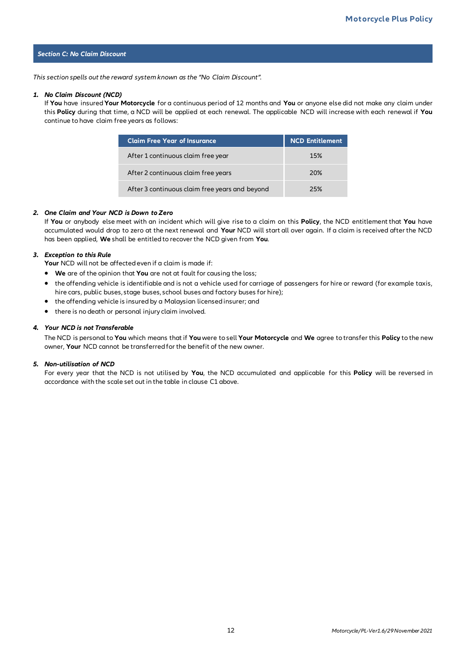#### *Section C: No Claim Discount*

*This section spells out the reward system known as the "No Claim Discount".*

#### *1. No Claim Discount (NCD)*

If **You** have insured **Your Motorcycle** for a continuous period of 12 months and **You** or anyone else did not make any claim under this **Policy** during that time, a NCD will be applied at each renewal. The applicable NCD will increase with each renewal if **You** continue to have claim free years as follows:

| <b>Claim Free Year of Insurance</b>            | <b>NCD Entitlement</b> |
|------------------------------------------------|------------------------|
| After 1 continuous claim free year             | 15%                    |
| After 2 continuous claim free years            | 20%                    |
| After 3 continuous claim free years and beyond | 25%                    |

#### *2. One Claim and Your NCD is Down to Zero*

If **You** or anybody else meet with an incident which will give rise to a claim on this **Policy**, the NCD entitlement that **You** have accumulated would drop to zero at the next renewal and **Your** NCD will start all over again. If a claim is received after the NCD has been applied, **We** shall be entitled to recover the NCD given from **You**.

#### *3. Exception to this Rule*

**Your** NCD will not be affected even if a claim is made if:

- **We** are of the opinion that **You** are not at fault for causing the loss;
- the offending vehicle is identifiable and is not a vehicle used for carriage of passengers for hire or reward (for example taxis, hire cars, public buses, stage buses, school buses and factory buses for hire);
- the offending vehicle is insured by a Malaysian licensed insurer; and
- there is no death or personal injury claim involved.

#### *4. Your NCD is not Transferable*

The NCD is personal to **You** which means that if **You** were to sell **Your Motorcycle** and **We** agree to transfer this **Policy** to the new owner, **Your** NCD cannot be transferred for the benefit of the new owner.

#### *5. Non-utilisation of NCD*

For every year that the NCD is not utilised by **You**, the NCD accumulated and applicable for this **Policy** will be reversed in accordance with the scale set out in the table in clause C1 above.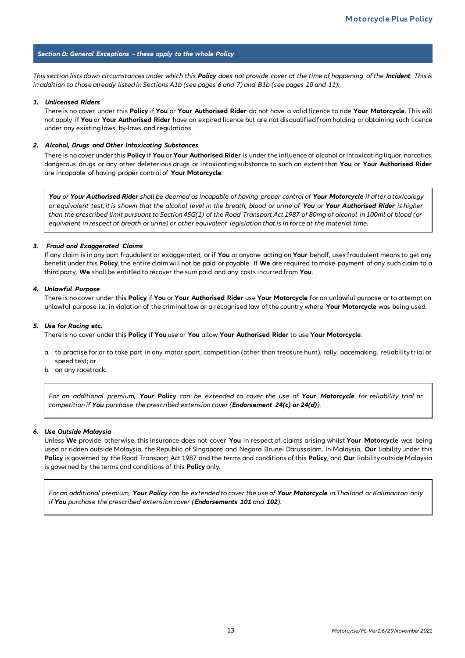#### *Section D: General Exceptions – these apply to the whole Policy*

*This section lists down circumstances under which this Policy does not provide cover at the time of happening of the Incident. This is in addition to those already listed in Sections A1b (see pages 6 and 7) and B1b (see pages 10 and 11).*

#### *1. Unlicensed Riders*

There is no cover under this **Policy** if **You** or **Your Authorised Rider** do not have a valid licence to ride **Your Motorcycle**. This will not apply if **You** or **Your Authorised Rider** have an expired licence but are not disqualified from holding or obtaining such licence under any existing laws, by-laws and regulations.

#### *2. Alcohol, Drugs and Other Intoxicating Substances*

There is no cover under this **Policy** if **You** or **Your Authorised Rider** is under the influence of alcohol or intoxicating liquor, narcotics, dangerous drugs or any other deleterious drugs or intoxicating substance to such an extent that **You** or **Your Authorised Rider**  are incapable of having proper control of **Your Motorcycle**.

*You or Your Authorised Rider shall be deemed as incapable of having proper control of Your Motorcycle if after a toxicology or equivalent test, it is shown that the alcohol level in the breath, blood or urine of You or Your Authorised Rider is higher than the prescribed limit pursuant to Section 45G(1) of the Road Transport Act 1987 of 80mg of alcohol in 100ml of blood (or equivalent in respect of breath or urine) or other equivalent legislation that is in force at the material time.* 

#### *3. Fraud and Exaggerated Claims*

If any claim is in any part fraudulent or exaggerated, or if **You** or anyone acting on **Your** behalf, uses fraudulent means to get any benefit under this **Policy**, the entire claim will not be paid or payable. If **We** are required to make payment of any such claim to a third party, **We** shall be entitled to recover the sum paid and any costs incurred from **You**.

#### *4. Unlawful Purpose*

There is no cover under this **Policy** if **You** or **Your Authorised Rider** use **Your Motorcycle** for an unlawful purpose or to attempt an unlawful purpose i.e. in violation of the criminal law or a recognised law of the country where **Your Motorcycle** was being used.

#### *5. Use for Racing etc.*

There is no cover under this **Policy** if **You** use or **You** allow **Your Authorised Rider** to use **Your Motorcycle**:

- a. to practise for or to take part in any motor sport, competition (other than treasure hunt), rally, pacemaking, reliability trial or speed test; or
- b. on any racetrack.

*For an additional premium, Your* **Policy** *can be extended to cover the use of Your Motorcycle for reliability trial or competition if You purchase the prescribed extension cover {Endorsement 24(c) or 24(d)}.*

#### *6. Use Outside Malaysia*

Unless **We** provide otherwise, this insurance does not cover **You** in respect of claims arising whilst **Your Motorcycle** was being used or ridden outside Malaysia, the Republic of Singapore and Negara Brunei Darussalam. In Malaysia, **Our** liability under this **Policy** is governed by the Road Transport Act 1987 and the terms and conditions of this **Policy**, and **Our** liability outside Malaysia is governed by the terms and conditions of this **Policy** only.

*For an additional premium, Your Policy can be extended to cover the use of Your Motorcycle in Thailand or Kalimantan only if You purchase the prescribed extension cover (Endorsements 101 and 102).*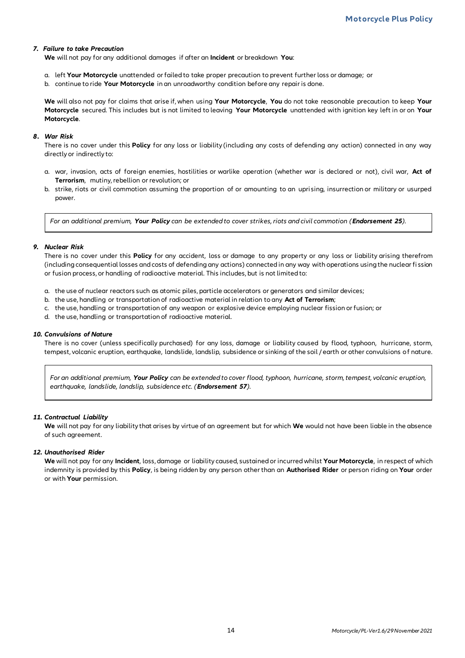#### *7. Failure to take Precaution*

**We** will not pay for any additional damages if after an **Incident** or breakdown **You**:

- a. left **Your Motorcycle** unattended or failed to take proper precaution to prevent further loss or damage; or
- b. continue to ride **Your Motorcycle** in an unroadworthy condition before any repair is done.

**We** will also not pay for claims that arise if, when using **Your Motorcycle**, **You** do not take reasonable precaution to keep **Your Motorcycle** secured. This includes but is not limited to leaving **Your Motorcycle** unattended with ignition key left in or on **Your Motorcycle**.

#### *8. War Risk*

There is no cover under this **Policy** for any loss or liability (including any costs of defending any action) connected in any way directly or indirectly to:

- a. war, invasion, acts of foreign enemies, hostilities or warlike operation (whether war is declared or not), civil war, **Act of Terrorism**, mutiny, rebellion or revolution; or
- b. strike, riots or civil commotion assuming the proportion of or amounting to an uprising, insurrection or military or usurped power.

*For an additional premium, Your Policy can be extended to cover strikes, riots and civil commotion (Endorsement 25).*

#### *9. Nuclear Risk*

There is no cover under this **Policy** for any accident, loss or damage to any property or any loss or liability arising therefrom (including consequential losses and costs of defending any actions) connected in any way with operations using the nuclear fi ssion or fusion process, or handling of radioactive material. This includes, but is not limited to:

- a. the use of nuclear reactors such as atomic piles, particle accelerators or generators and similar devices;
- b. the use, handling or transportation of radioactive material in relation to any **Act of Terrorism**;
- c. the use, handling or transportation of any weapon or explosive device employing nuclear fission or fusion; or
- d. the use, handling or transportation of radioactive material.

#### *10. Convulsions of Nature*

There is no cover (unless specifically purchased) for any loss, damage or liability caused by flood, typhoon, hurricane, storm, tempest, volcanic eruption, earthquake, landslide, landslip, subsidence or sinking of the soil / earth or other convulsions of nature.

*For an additional premium, Your Policy can be extended to cover flood, typhoon, hurricane, storm, tempest, volcanic eruption, earthquake, landslide, landslip, subsidence etc. (Endorsement 57).*

#### *11. Contractual Liability*

**We** will not pay for any liability that arises by virtue of an agreement but for which **We** would not have been liable in the absence of such agreement.

#### *12. Unauthorised Rider*

**We** will not pay for any **Incident**, loss, damage or liability caused, sustained or incurred whilst **Your Motorcycle**, in respect of which indemnity is provided by this **Policy**, is being ridden by any person other than an **Authorised Rider** or person riding on **Your** order or with **Your** permission.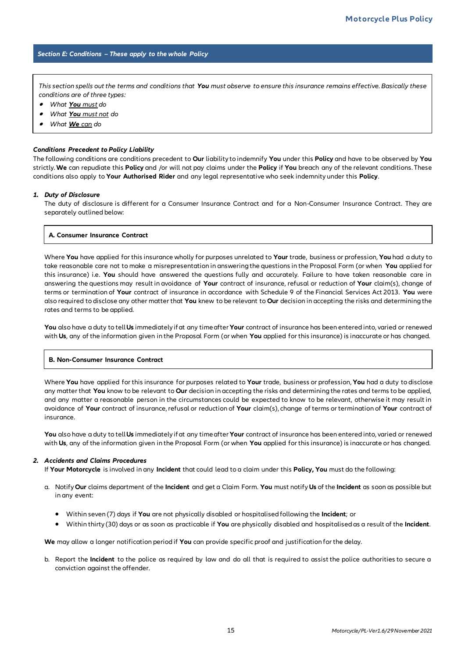#### *Section E: Conditions – These apply to the whole Policy*

*This section spells out the terms and conditions that You must observe to ensure this insurance remains effective. Basically these conditions are of three types:*

- •*What You must do*
- •*What You must not do*
- •*What We can do*

#### *Conditions Precedent to Policy Liability*

The following conditions are conditions precedent to **Our** liability to indemnify **You** under this **Policy** and have to be observed by **You** strictly. **We** can repudiate this **Policy** and /or will not pay claims under the **Policy** if **You** breach any of the relevant conditions. These conditions also apply to **Your Authorised Rider** and any legal representative who seek indemnity under this **Policy**.

#### *1. Duty of Disclosure*

The duty of disclosure is different for a Consumer Insurance Contract and for a Non-Consumer Insurance Contract. They are separately outlined below:

#### **A. Consumer Insurance Contract**

Where **You** have applied for this insurance wholly for purposes unrelated to **Your** trade, business or profession, **You** had a duty to take reasonable care not to make a misrepresentation in answering the questions in the Proposal Form (or when **You** applied for this insurance) i.e. **You** should have answered the questions fully and accurately. Failure to have taken reasonable care in answering the questions may result in avoidance of **Your** contract of insurance, refusal or reduction of **Your** claim(s), change of terms or termination of **Your** contract of insurance in accordance with Schedule 9 of the Financial Services Act 2013. **You** were also required to disclose any other matter that **You** knew to be relevant to **Our** decision in accepting the risks and determining the rates and terms to be applied.

**You** also have a duty to tell **Us** immediately if at any time after **Your** contract of insurance has been entered into, varied or renewed with **Us**, any of the information given in the Proposal Form (or when **You** applied for this insurance) is inaccurate or has changed.

#### **B. Non-Consumer Insurance Contract**

Where **You** have applied for this insurance for purposes related to **Your** trade, business or profession, **You** had a duty to disclose any matter that **You** know to be relevant to **Our** decision in accepting the risks and determining the rates and terms to be applied, and any matter a reasonable person in the circumstances could be expected to know to be relevant, otherwise it may result in avoidance of **Your** contract of insurance, refusal or reduction of **Your** claim(s), change of terms or termination of **Your** contract of insurance.

**You** also have a duty to tell **Us** immediately if at any time after **Your** contract of insurance has been entered into, varied or renewed with **Us**, any of the information given in the Proposal Form (or when **You** applied for this insurance) is inaccurate or has changed.

#### *2. Accidents and Claims Procedures*

If **Your Motorcycle** is involved in any **Incident** that could lead to a claim under this **Policy, You** must do the following:

- a. Notify **Our** claims department of the **Incident** and get a Claim Form. **You** must notify **Us** of the **Incident** as soon as possible but in any event:
	- Within seven (7) days if **You** are not physically disabled or hospitalised following the **Incident**; or
	- Within thirty (30) days or as soon as practicable if **You** are physically disabled and hospitalised as a result of the **Incident**.

**We** may allow a longer notification period if **You** can provide specific proof and justification for the delay.

b. Report the **Incident** to the police as required by law and do all that is required to assist the police authorities to secure a conviction against the offender.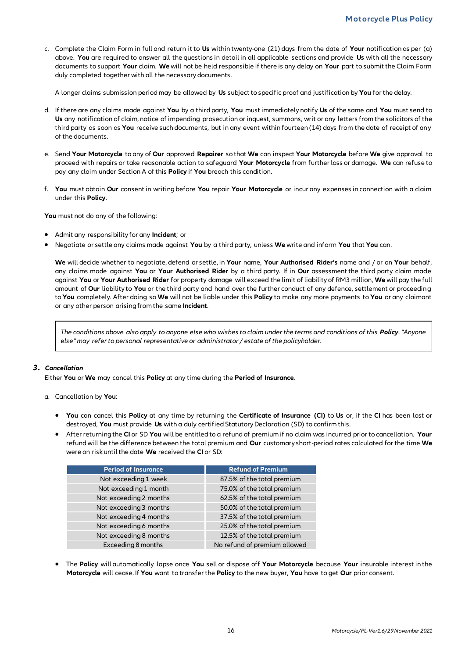c. Complete the Claim Form in full and return it to **Us** within twenty-one (21) days from the date of **Your** notification as per (a) above. **You** are required to answer all the questions in detail in all applicable sections and provide **Us** with all the necessary documents to support **Your** claim. **We** will not be held responsible if there is any delay on **Your** part to submit the Claim Form duly completed together with all the necessary documents.

A longer claims submission period may be allowed by **Us** subject to specific proof and justification by **You** for the delay.

- d. If there are any claims made against **You** by a third party, **You** must immediately notify **Us** of the same and **You** must send to **Us** any notification of claim, notice of impending prosecution or inquest, summons, writ or any letters from the solicitors of the third party as soon as **You** receive such documents, but in any event within fourteen (14) days from the date of receipt of any of the documents.
- e. Send **Your Motorcycle** to any of **Our** approved **Repairer** so that **We** can inspect **Your Motorcycle** before **We** give approval to proceed with repairs or take reasonable action to safeguard **Your Motorcycle** from further loss or damage. **We** can refuse to pay any claim under Section A of this **Policy** if **You** breach this condition.
- f. **You** must obtain **Our** consent in writing before **You** repair **Your Motorcycle** or incur any expenses in connection with a claim under this **Policy**.

**You** must not do any of the following:

- Admit any responsibility for any **Incident**; or
- Negotiate or settle any claims made against **You** by a third party, unless **We** write and inform **You** that **You** can.

**We** will decide whether to negotiate, defend or settle, in **Your** name, **Your Authorised Rider's** name and / or on **Your** behalf, any claims made against **You** or **Your Authorised Rider** by a third party. If in **Our** assessment the third party claim made against **You** or **Your Authorised Rider** for property damage will exceed the limit of liability of RM3 million, **We** will pay the full amount of **Our** liability to **You** or the third party and hand over the further conduct of any defence, settlement or proceeding to **You** completely. After doing so **We** will not be liable under this **Policy** to make any more payments to **You** or any claimant or any other person arising from the same **Incident**.

*The conditions above also apply to anyone else who wishes to claim under the terms and conditions of this Policy. "Anyone else" may refer to personal representative or administrator / estate of the policyholder.*

#### *3. Cancellation*

Either **You** or **We** may cancel this **Policy** at any time during the **Period of Insurance**.

- a. Cancellation by **You**:
	- **You** can cancel this **Policy** at any time by returning the **Certificate of Insurance (CI)** to **Us** or, if the **CI** has been lost or destroyed, **You** must provide **Us** with a duly certified Statutory Declaration (SD) to confirm this.
	- After returning the **CI** or SD **You** will be entitled to a refund of premium if no claim was incurred prior to cancellation. **Your** refund will be the difference between the total premium and **Our** customary short-period rates calculated for the time **We** were on risk until the date **We** received the **CI** or SD:

| <b>Period of Insurance</b> | <b>Refund of Premium</b>     |
|----------------------------|------------------------------|
| Not exceeding 1 week       | 87.5% of the total premium   |
| Not exceeding 1 month      | 75.0% of the total premium   |
| Not exceeding 2 months     | 62.5% of the total premium   |
| Not exceeding 3 months     | 50.0% of the total premium   |
| Not exceeding 4 months     | 37.5% of the total premium   |
| Not exceeding 6 months     | 25.0% of the total premium   |
| Not exceeding 8 months     | 12.5% of the total premium   |
| Exceeding 8 months         | No refund of premium allowed |

• The **Policy** will automatically lapse once **You** sell or dispose off **Your Motorcycle** because **Your** insurable interest in the **Motorcycle** will cease. If **You** want to transfer the **Policy** to the new buyer, **You** have to get **Our** prior consent.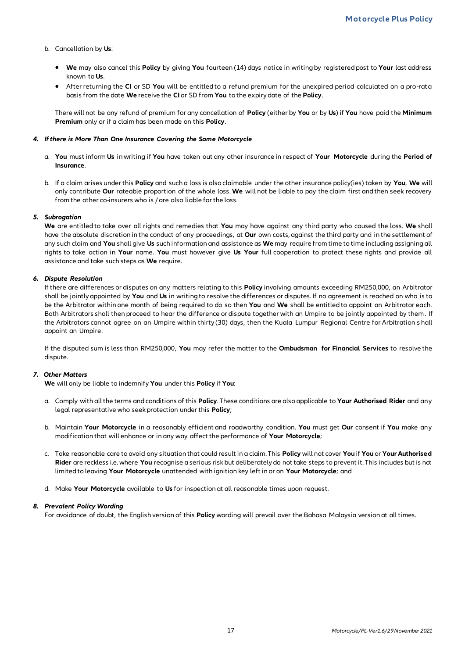- b. Cancellation by **Us**:
	- **We** may also cancel this **Policy** by giving **You** fourteen (14) days notice in writing by registered post to **Your** last address known to **Us**.
	- After returning the **CI** or SD **You** will be entitled to a refund premium for the unexpired period calculated on a pro-rat a basis from the date **We** receive the **CI** or SD from **You** to the expiry date of the **Policy**.

There will not be any refund of premium for any cancellation of **Policy** (either by **You** or by **Us**) if **You** have paid the **Minimum Premium** only or if a claim has been made on this **Policy**.

#### *4. If there is More Than One Insurance Covering the Same Motorcycle*

- a. **You** must inform **Us** in writing if **You** have taken out any other insurance in respect of **Your Motorcycle** during the **Period of Insurance**.
- b. If a claim arises under this **Policy** and such a loss is also claimable under the other insurance policy(ies) taken by **You**, **We** will only contribute **Our** rateable proportion of the whole loss. **We** will not be liable to pay the claim first and then seek recovery from the other co-insurers who is / are also liable for the loss.

#### *5. Subrogation*

**We** are entitled to take over all rights and remedies that **You** may have against any third party who caused the loss. **We** shall have the absolute discretion in the conduct of any proceedings, at **Our** own costs, against the third party and in the settlement of any such claim and **You** shall give **Us** such information and assistance as **We** may require from time to time including assigning all rights to take action in **Your** name. **You** must however give **Us Your** full cooperation to protect these rights and provide all assistance and take such steps as **We** require.

#### *6. Dispute Resolution*

If there are differences or disputes on any matters relating to this **Policy** involving amounts exceeding RM250,000, an Arbitrator shall be jointly appointed by **You** and **Us** in writing to resolve the differences or disputes. If no agreement is reached on who is to be the Arbitrator within one month of being required to do so then **You** and **We** shall be entitled to appoint an Arbitrator each. Both Arbitrators shall then proceed to hear the difference or dispute together with an Umpire to be jointly appointed by them . If the Arbitrators cannot agree on an Umpire within thirty (30) days, then the Kuala Lumpur Regional Centre for Arbitration s hall appoint an Umpire.

If the disputed sum is less than RM250,000, **You** may refer the matter to the **Ombudsman for Financial Services** to resolve the dispute.

#### *7. Other Matters*

**We** will only be liable to indemnify **You** under this **Policy** if **You**:

- a. Comply with all the terms and conditions of this **Policy**. These conditions are also applicable to **Your Authorised Rider** and any legal representative who seek protection under this **Policy**;
- b. Maintain **Your Motorcycle** in a reasonably efficient and roadworthy condition. **You** must get **Our** consent if **You** make any modification that will enhance or in any way affect the performance of **Your Motorcycle**;
- c. Take reasonable care to avoid any situation that could result in a claim. This **Policy** will not cover **You** if **You** or **Your Authorised Rider** are reckless i.e. where **You** recognise a serious risk but deliberately do not take steps to prevent it. This includes but is not limited to leaving **Your Motorcycle** unattended with ignition key left in or on **Your Motorcycle**; and
- d. Make **Your Motorcycle** available to **Us** for inspection at all reasonable times upon request.

#### *8. Prevalent Policy Wording*

For avoidance of doubt, the English version of this **Policy** wording will prevail over the Bahasa Malaysia version at all times.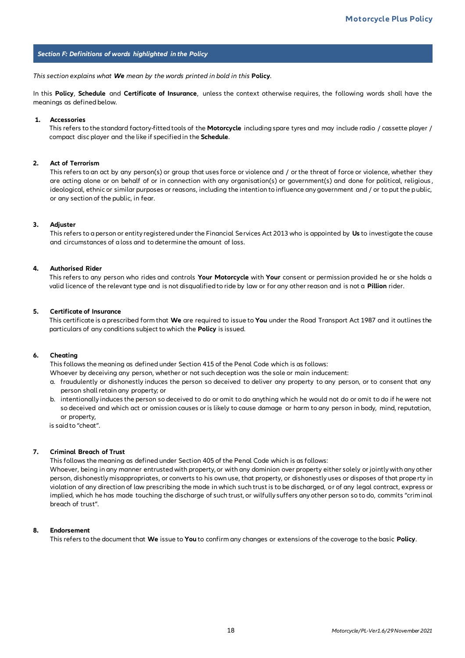#### *Section F: Definitions of words highlighted in the Policy*

*This section explains what We mean by the words printed in bold in this* **Policy***.*

In this **Policy**, **Schedule** and **Certificate of Insurance**, unless the context otherwise requires, the following words shall have the meanings as defined below.

#### **1. Accessories**

This refers to the standard factory-fitted tools of the **Motorcycle** including spare tyres and may include radio / cassette player / compact disc player and the like if specified in the **Schedule**.

#### **2. Act of Terrorism**

This refers to an act by any person(s) or group that uses force or violence and / or the threat of force or violence, whether they are acting alone or on behalf of or in connection with any organisation(s) or government(s) and done for political, religious, ideological, ethnic or similar purposes or reasons, including the intention to influence any government and / or to put the public, or any section of the public, in fear.

#### **3. Adjuster**

This refers to a person or entity registered under the Financial Services Act 2013 who is appointed by **Us** to investigate the cause and circumstances of a loss and to determine the amount of loss.

#### **4. Authorised Rider**

This refers to any person who rides and controls **Your Motorcycle** with **Your** consent or permission provided he or she holds a valid licence of the relevant type and is not disqualified to ride by law or for any other reason and is not a **Pillion** rider.

#### **5. Certificate of Insurance**

This certificate is a prescribed form that **We** are required to issue to **You** under the Road Transport Act 1987 and it outlines the particulars of any conditions subject to which the **Policy** is issued.

#### **6. Cheating**

This follows the meaning as defined under Section 415 of the Penal Code which is as follows:

Whoever by deceiving any person, whether or not such deception was the sole or main inducement:

- a. fraudulently or dishonestly induces the person so deceived to deliver any property to any person, or to consent that any person shall retain any property; or
- b. intentionally induces the person so deceived to do or omit to do anything which he would not do or omit to do if he were not so deceived and which act or omission causes or is likely to cause damage or harm to any person in body, mind, reputation, or property,

is said to "cheat".

#### **7. Criminal Breach of Trust**

This follows the meaning as defined under Section 405 of the Penal Code which is as follows:

Whoever, being in any manner entrusted with property, or with any dominion over property either solely or jointly with any other person, dishonestly misappropriates, or converts to his own use, that property, or dishonestly uses or disposes of that prope rty in violation of any direction of law prescribing the mode in which such trust is to be discharged, or of any legal contract, express or implied, which he has made touching the discharge of such trust, or wilfully suffers any other person so to do, commits "criminal breach of trust".

#### **8. Endorsement**

This refers to the document that **We** issue to **You** to confirm any changes or extensions of the coverage to the basic **Policy**.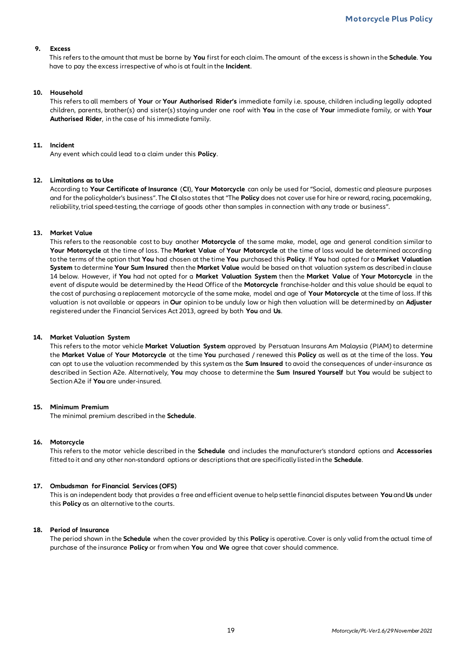#### **9. Excess**

This refers to the amount that must be borne by **You** first for each claim. The amount of the excess is shown in the **Schedule**. **You** have to pay the excess irrespective of who is at fault in the **Incident**.

#### **10. Household**

This refers to all members of **Your** or **Your Authorised Rider's** immediate family i.e. spouse, children including legally adopted children, parents, brother(s) and sister(s) staying under one roof with **You** in the case of **Your** immediate family, or with **Your Authorised Rider**, in the case of his immediate family.

#### **11. Incident**

Any event which could lead to a claim under this **Policy**.

#### **12. Limitations as to Use**

According to **Your Certificate of Insurance** (**CI**), **Your Motorcycle** can only be used for "Social, domestic and pleasure purposes and for the policyholder's business". The **CI** also states that "The **Policy** does not cover use for hire or reward, racing, pacemaking, reliability, trial speed-testing, the carriage of goods other than samples in connection with any trade or business".

#### **13. Market Value**

This refers to the reasonable cost to buy another **Motorcycle** of the same make, model, age and general condition similar to **Your Motorcycle** at the time of loss. The **Market Value** of **Your Motorcycle** at the time of loss would be determined according to the terms of the option that **You** had chosen at the time **You** purchased this **Policy**. If **You** had opted for a **Market Valuation System** to determine **Your Sum Insured** then the **Market Value** would be based on that valuation system as described in clause 14 below. However, if **You** had not opted for a **Market Valuation System** then the **Market Value** of **Your Motorcycle** in the event of dispute would be determined by the Head Office of the **Motorcycle** franchise-holder and this value should be equal to the cost of purchasing a replacement motorcycle of the same make, model and age of **Your Motorcycle** at the time of loss. If this valuation is not available or appears in **Our** opinion to be unduly low or high then valuation will be determined by an **Adjuster**  registered under the Financial Services Act 2013, agreed by both **You** and **Us**.

#### **14. Market Valuation System**

This refers to the motor vehicle **Market Valuation System** approved by Persatuan Insurans Am Malaysia (PIAM) to determine the **Market Value** of **Your Motorcycle** at the time **You** purchased / renewed this **Policy** as well as at the time of the loss. **You** can opt to use the valuation recommended by this system as the **Sum Insured** to avoid the consequences of under-insurance as described in Section A2e. Alternatively, **You** may choose to determine the **Sum Insured Yourself** but **You** would be subject to Section A2e if **You** are under-insured.

#### **15. Minimum Premium**

The minimal premium described in the **Schedule**.

#### **16. Motorcycle**

This refers to the motor vehicle described in the **Schedule** and includes the manufacturer's standard options and **Accessories** fitted to it and any other non-standard options or descriptions that are specifically listed in the **Schedule**.

#### **17. Ombudsman for Financial Services (OFS)**

This is an independent body that provides a free and efficient avenue to help settle financial disputes between **You** and **Us** under this **Policy** as an alternative to the courts.

#### **18. Period of Insurance**

The period shown in the **Schedule** when the cover provided by this **Policy** is operative. Cover is only valid from the actual time of purchase of the insurance **Policy** or from when **You** and **We** agree that cover should commence.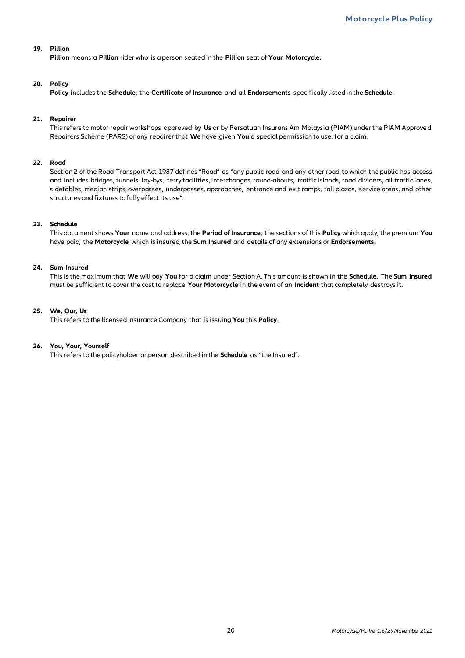#### **19. Pillion**

**Pillion** means a **Pillion** rider who is a person seated in the **Pillion** seat of **Your Motorcycle**.

#### **20. Policy**

**Policy** includes the **Schedule**, the **Certificate of Insurance** and all **Endorsements** specifically listed in the **Schedule**.

#### **21. Repairer**

This refers to motor repair workshops approved by **Us** or by Persatuan Insurans Am Malaysia (PIAM) under the PIAM Approve d Repairers Scheme (PARS) or any repairer that **We** have given **You** a special permission to use, for a claim.

#### **22. Road**

Section 2 of the Road Transport Act 1987 defines "Road" as "any public road and any other road to which the public has access and includes bridges, tunnels, lay-bys, ferry facilities, interchanges, round-abouts, traffic islands, road dividers, all traffic lanes, sidetables, median strips, overpasses, underpasses, approaches, entrance and exit ramps, toll plazas, service areas, and other structures and fixtures to fully effect its use".

#### **23. Schedule**

This document shows **Your** name and address, the **Period of Insurance**, the sections of this **Policy** which apply, the premium **You** have paid, the **Motorcycle** which is insured, the **Sum Insured** and details of any extensions or **Endorsements**.

#### **24. Sum Insured**

This is the maximum that **We** will pay **You** for a claim under Section A. This amount is shown in the **Schedule**. The **Sum Insured** must be sufficient to cover the cost to replace **Your Motorcycle** in the event of an **Incident** that completely destroys it.

#### **25. We, Our, Us**

This refers to the licensed Insurance Company that is issuing **You** this **Policy**.

#### **26. You, Your, Yourself**

This refers to the policyholder or person described in the **Schedule** as "the Insured".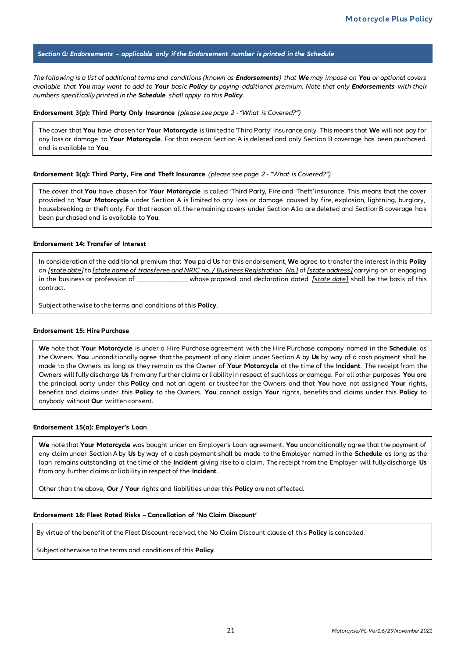#### *Section G: Endorsements – applicable only if the Endorsement number is printed in the Schedule*

*The following is a list of additional terms and conditions (known as Endorsements) that We may impose on You or optional covers available that You may want to add to Your basic Policy by paying additional premium. Note that only Endorsements with their numbers specifically printed in the Schedule shall apply to this Policy.*

#### **Endorsement 3(p): Third Party Only Insurance** *(please see page 2 -"What is Covered?")*

The cover that **You** have chosen for **Your Motorcycle** is limited to 'Third Party' insurance only. This means that **We** will not pay for any loss or damage to **Your Motorcycle**. For that reason Section A is deleted and only Section B coverage has been purchased and is available to **You**.

#### **Endorsement 3(q): Third Party, Fire and Theft Insurance** *(please see page 2 - "What is Covered?")*

The cover that **You** have chosen for **Your Motorcycle** is called 'Third Party, Fire and Theft' insurance. This means that the cover provided to **Your Motorcycle** under Section A is limited to any loss or damage caused by fire, explosion, lightning, burglary, housebreaking or theft only. For that reason all the remaining covers under Section A1a are deleted and Section B coverage has been purchased and is available to **You**.

#### **Endorsement 14: Transfer of Interest**

In consideration of the additional premium that **You** paid **Us** for this endorsement, **We** agree to transfer the interest in this **Policy** on *[state date]* to *[state name of transferee and NRIC no. / Business Registration No.]* of *[state address]* carrying on or engaging in the business or profession of \_\_\_\_\_\_\_\_\_\_\_\_\_\_ whose proposal and declaration dated *[state date]* shall be the basis of this contract.

Subject otherwise to the terms and conditions of this **Policy**.

#### **Endorsement 15: Hire Purchase**

**We** note that **Your Motorcycle** is under a Hire Purchase agreement with the Hire Purchase company named in the **Schedule** as the Owners. **You** unconditionally agree that the payment of any claim under Section A by **Us** by way of a cash payment shall be made to the Owners as long as they remain as the Owner of **Your Motorcycle** at the time of the **Incident**. The receipt from the Owners will fully discharge **Us** from any further claims or liability in respect of such loss or damage. For all other purposes **You** are the principal party under this **Policy** and not an agent or trustee for the Owners and that **You** have not assigned **Your** rights, benefits and claims under this **Policy** to the Owners. **You** cannot assign **Your** rights, benefits and claims under this **Policy** to anybody without **Our** written consent.

#### **Endorsement 15(a): Employer's Loan**

**We** note that **Your Motorcycle** was bought under an Employer's Loan agreement. **You** unconditionally agree that the payment of any claim under Section A by **Us** by way of a cash payment shall be made to the Employer named in the **Schedule** as long as the loan remains outstanding at the time of the **Incident** giving rise to a claim. The receipt from the Employer will fully discharge **Us** from any further claims or liability in respect of the **Incident**.

Other than the above, **Our / Your** rights and liabilities under this **Policy** are not affected.

#### **Endorsement 18: Fleet Rated Risks – Cancellation of 'No Claim Discount'**

By virtue of the benefit of the Fleet Discount received, the No Claim Discount clause of this **Policy** is cancelled.

Subject otherwise to the terms and conditions of this **Policy**.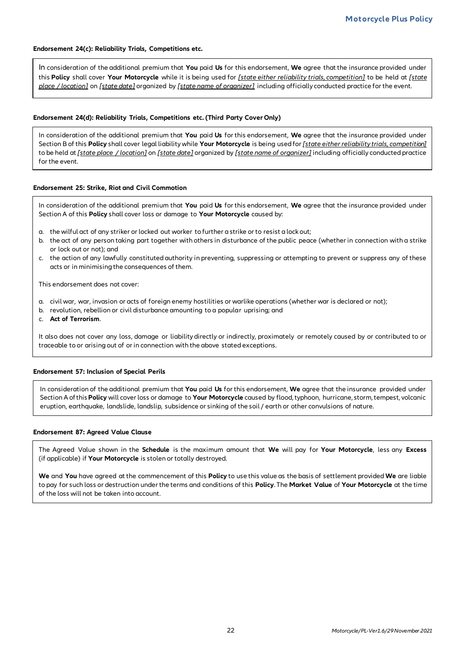#### **Endorsement 24(c): Reliability Trials, Competitions etc.**

In consideration of the additional premium that **You** paid **Us** for this endorsement, **We** agree that the insurance provided under this **Policy** shall cover **Your Motorcycle** while it is being used for *[state either reliability trials, competition]* to be held at *[state place / location]* on *[state date]* organized by *[state name of organizer]* including officially conducted practice for the event.

#### **Endorsement 24(d): Reliability Trials, Competitions etc. (Third Party Cover Only)**

In consideration of the additional premium that **You** paid **Us** for this endorsement, **We** agree that the insurance provided under Section B of this **Policy** shall cover legal liability while **Your Motorcycle** is being used for *[state either reliability trials, competition]* to be held at *[state place / location]* on *[state date]* organized by *[state name of organizer]* including officially conducted practice for the event.

#### **Endorsement 25: Strike, Riot and Civil Commotion**

In consideration of the additional premium that **You** paid **Us** for this endorsement, **We** agree that the insurance provided under Section A of this **Policy** shall cover loss or damage to **Your Motorcycle** caused by:

- a. the wilful act of any striker or locked out worker to further a strike or to resist a lock out;
- b. the act of any person taking part together with others in disturbance of the public peace (whether in connection with a strike or lock out or not); and
- c. the action of any lawfully constituted authority in preventing, suppressing or attempting to prevent or suppress any of these acts or in minimising the consequences of them.

This endorsement does not cover:

- a. civil war, war, invasion or acts of foreign enemy hostilities or warlike operations (whether war is declared or not);
- b. revolution, rebellion or civil disturbance amounting to a popular uprising; and
- c. **Act of Terrorism**.

It also does not cover any loss, damage or liability directly or indirectly, proximately or remotely caused by or contributed to or traceable to or arising out of or in connection with the above stated exceptions.

#### **Endorsement 57: Inclusion of Special Perils**

In consideration of the additional premium that **You** paid **Us** for this endorsement, **We** agree that the insurance provided under Section A of this **Policy** will cover loss or damage to **Your Motorcycle** caused by flood, typhoon, hurricane, storm, tempest, volcanic eruption, earthquake, landslide, landslip, subsidence or sinking of the soil / earth or other convulsions of nature.

#### **Endorsement 87: Agreed Value Clause**

The Agreed Value shown in the **Schedule** is the maximum amount that **We** will pay for **Your Motorcycle**, less any **Excess** (if applicable) if **Your Motorcycle** is stolen or totally destroyed.

**We** and **You** have agreed at the commencement of this **Policy** to use this value as the basis of settlement provided **We** are liable to pay for such loss or destruction under the terms and conditions of this **Policy**. The **Market Value** of **Your Motorcycle** at the time of the loss will not be taken into account.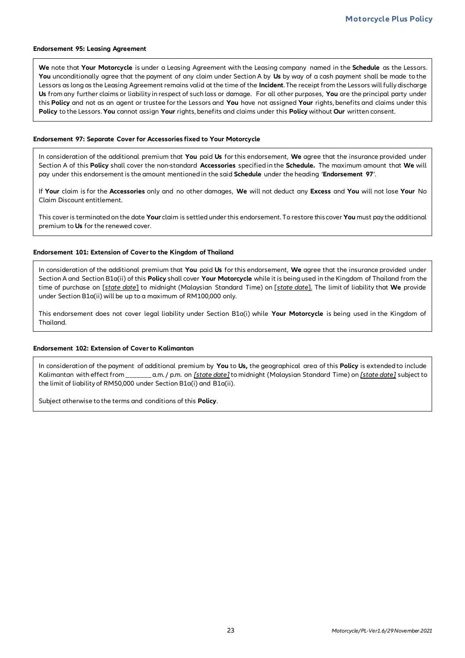#### **Endorsement 95: Leasing Agreement**

**We** note that **Your Motorcycle** is under a Leasing Agreement with the Leasing company named in the **Schedule** as the Lessors. **You** unconditionally agree that the payment of any claim under Section A by **Us** by way of a cash payment shall be made to the Lessors as long as the Leasing Agreement remains valid at the time of the **Incident**. The receipt from the Lessors will fully discharge **Us** from any further claims or liability in respect of such loss or damage. For all other purposes, **You** are the principal party under this **Policy** and not as an agent or trustee for the Lessors and **You** have not assigned **Your** rights, benefits and claims under this **Policy** to the Lessors. **You** cannot assign **Your** rights, benefits and claims under this **Policy** without **Our** written consent.

#### **Endorsement 97: Separate Cover for Accessories fixed to Your Motorcycle**

In consideration of the additional premium that **You** paid **Us** for this endorsement, **We** agree that the insurance provided under Section A of this **Policy** shall cover the non-standard **Accessories** specified in the **Schedule.** The maximum amount that **We** will pay under this endorsement is the amount mentioned in the said **Schedule** under the heading '**Endorsement 97**'.

If **Your** claim is for the **Accessories** only and no other damages, **We** will not deduct any **Excess** and **You** will not lose **Your** No Claim Discount entitlement.

This cover is terminated on the date **Your** claim is settled under this endorsement. To restore this cover **You** must pay the additional premium to **Us** for the renewed cover.

#### **Endorsement 101: Extension of Cover to the Kingdom of Thailand**

In consideration of the additional premium that **You** paid **Us** for this endorsement, **We** agree that the insurance provided under Section A and Section B1a(ii) of this **Policy** shall cover **Your Motorcycle** while it is being used in the Kingdom of Thailand from the time of purchase on [*state date*] to midnight (Malaysian Standard Time) on [*state date*]. The limit of liability that **We** provide under Section B1a(ii) will be up to a maximum of RM100,000 only.

This endorsement does not cover legal liability under Section B1a(i) while **Your Motorcycle** is being used in the Kingdom of Thailand.

#### **Endorsement 102: Extension of Cover to Kalimantan**

In consideration of the payment of additional premium by **You** to **Us,** the geographical area of this **Policy** is extended to include Kalimantan with effect from \_\_\_\_\_\_\_ a.m. / p.m. on *[state date]* to midnight (Malaysian Standard Time) on *[state date]* subject to the limit of liability of RM50,000 under Section B1a(i) and B1a(ii).

Subject otherwise to the terms and conditions of this **Policy**.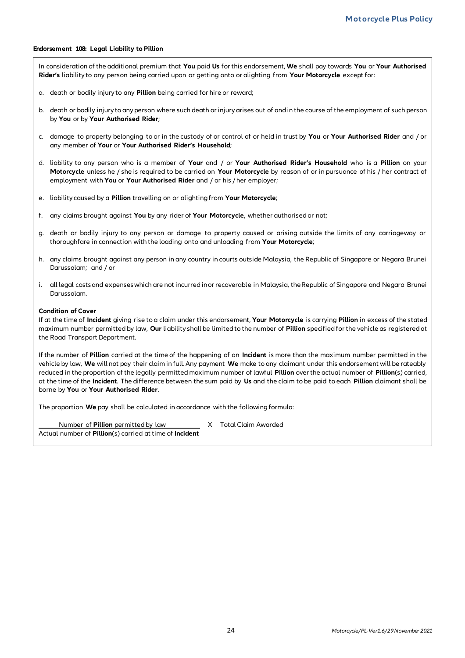#### **Endorsement 108: Legal Liability to Pillion**

In consideration of the additional premium that **You** paid **Us** for this endorsement, **We** shall pay towards **You** or **Your Authorised Rider's** liability to any person being carried upon or getting onto or alighting from **Your Motorcycle** except for:

- a. death or bodily injury to any **Pillion** being carried for hire or reward;
- b. death or bodily injury to any person where such death or injury arises out of and in the course of the employment of such person by **You** or by **Your Authorised Rider**;
- c. damage to property belonging to or in the custody of or control of or held in trust by **You** or **Your Authorised Rider** and / or any member of **Your** or **Your Authorised Rider's Household**;
- d. liability to any person who is a member of **Your** and / or **Your Authorised Rider's Household** who is a **Pillion** on your **Motorcycle** unless he / she is required to be carried on **Your Motorcycle** by reason of or in pursuance of his / her contract of employment with **You** or **Your Authorised Rider** and / or his / her employer;
- e. liability caused by a **Pillion** travelling on or alighting from **Your Motorcycle**;
- f. any claims brought against **You** by any rider of **Your Motorcycle**, whether authorised or not;
- g. death or bodily injury to any person or damage to property caused or arising outside the limits of any carriageway or thoroughfare in connection with the loading onto and unloading from **Your Motorcycle**;
- h. any claims brought against any person in any country in courts outside Malaysia, the Republic of Singapore or Negara Brunei Darussalam; and / or
- i. all legal costs and expenses which are not incurred in or recoverable in Malaysia, the Republic of Singapore and Negara Brunei Darussalam.

#### **Condition of Cover**

If at the time of **Incident** giving rise to a claim under this endorsement, **Your Motorcycle** is carrying **Pillion** in excess of the stated maximum number permitted by law, **Our** liability shall be limited to the number of **Pillion** specified for the vehicle as registered at the Road Transport Department.

If the number of **Pillion** carried at the time of the happening of an **Incident** is more than the maximum number permitted in the vehicle by law, **We** will not pay their claim in full. Any payment **We** make to any claimant under this endorsement will be rateably reduced in the proportion of the legally permitted maximum number of lawful **Pillion** over the actual number of **Pillion**(s) carried, at the time of the **Incident**. The difference between the sum paid by **Us** and the claim to be paid to each **Pillion** claimant shall be borne by **You** or **Your Authorised Rider**.

The proportion **We** pay shall be calculated in accordance with the following formula:

Number of **Pillion** permitted by law Manuel X Total Claim Awarded

Actual number of **Pillion**(s) carried at time of **Incident**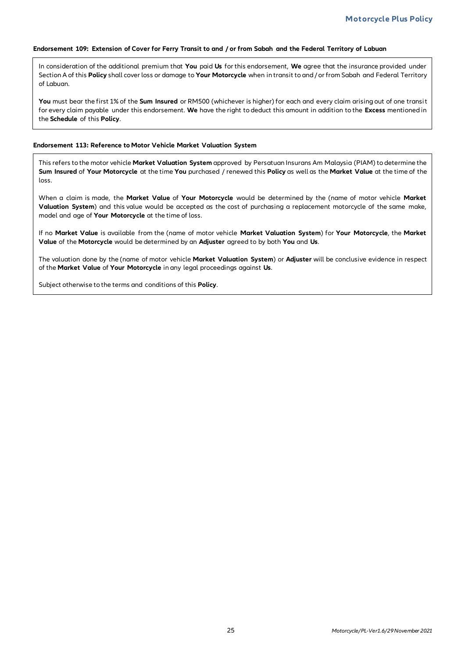#### **Endorsement 109: Extension of Cover for Ferry Transit to and / or from Sabah and the Federal Territory of Labuan**

In consideration of the additional premium that **You** paid **Us** for this endorsement, **We** agree that the insurance provided under Section A of this **Policy** shall cover loss or damage to **Your Motorcycle** when in transit to and / or from Sabah and Federal Territory of Labuan.

**You** must bear the first 1% of the **Sum Insured** or RM500 (whichever is higher) for each and every claim arising out of one transit for every claim payable under this endorsement. **We** have the right to deduct this amount in addition to the **Excess** mentioned in the **Schedule** of this **Policy**.

#### **Endorsement 113: Reference to Motor Vehicle Market Valuation System**

This refers to the motor vehicle **Market Valuation System** approved by Persatuan Insurans Am Malaysia (PIAM) to determine the **Sum Insured** of **Your Motorcycle** at the time **You** purchased / renewed this **Policy** as well as the **Market Value** at the time of the loss.

When a claim is made, the **Market Value** of **Your Motorcycle** would be determined by the (name of motor vehicle **Market Valuation System**) and this value would be accepted as the cost of purchasing a replacement motorcycle of the same make, model and age of **Your Motorcycle** at the time of loss.

If no **Market Value** is available from the (name of motor vehicle **Market Valuation System**) for **Your Motorcycle**, the **Market Value** of the **Motorcycle** would be determined by an **Adjuster** agreed to by both **You** and **Us**.

The valuation done by the (name of motor vehicle **Market Valuation System**) or **Adjuster** will be conclusive evidence in respect of the **Market Value** of **Your Motorcycle** in any legal proceedings against **Us**.

Subject otherwise to the terms and conditions of this **Policy**.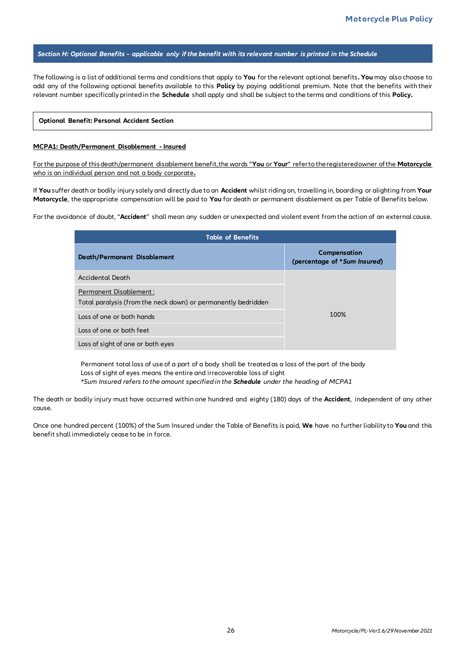#### *Section H: Optional Benefits – applicable only if the benefit with its relevant number is printed in the Schedule*

The following is a list of additional terms and conditions that apply to **You** for the relevant optional benefits**. You** may also choose to add any of the following optional benefits available to this **Policy** by paying additional premium. Note that the benefits with their relevant number specifically printed in the **Schedule** shall apply and shall be subject to the terms and conditions of this **Policy.**

#### **Optional Benefit: Personal Accident Section**

#### **MCPA1: Death/Permanent Disablement - Insured**

For the purpose of this death/permanent disablement benefit, the words "**You** or **Your**" refer to the registered owner of the **Motorcycle**  who is an individual person and not a body corporate**.**

If **You** suffer death or bodily injury solely and directly due to an **Accident** whilst riding on, travelling in, boarding or alighting from **Your Motorcycle**, the appropriate compensation will be paid to **You** for death or permanent disablement as per Table of Benefits below.

For the avoidance of doubt, "**Accident**" shall mean any sudden or unexpected and violent event from the action of an external cause.

| <b>Table of Benefits</b>                                                                       |                                              |  |
|------------------------------------------------------------------------------------------------|----------------------------------------------|--|
| <b>Death/Permanent Disablement</b>                                                             | Compensation<br>(percentage of *Sum Insured) |  |
| Accidental Death                                                                               |                                              |  |
| <b>Permanent Disablement:</b><br>Total paralysis (from the neck down) or permanently bedridden |                                              |  |
| Loss of one or both hands                                                                      | 100%                                         |  |
| Loss of one or both feet                                                                       |                                              |  |
| Loss of sight of one or both eyes                                                              |                                              |  |

Permanent total loss of use of a part of a body shall be treated as a loss of the part of the body Loss of sight of eyes means the entire and irrecoverable loss of sight *\*Sum Insured refers to the amount specified in the Schedule under the heading of MCPA1*

The death or bodily injury must have occurred within one hundred and eighty (180) days of the **Accident**, independent of any other cause.

Once one hundred percent (100%) of the Sum Insured under the Table of Benefits is paid, **We** have no further liability to **You** and this benefit shall immediately cease to be in force.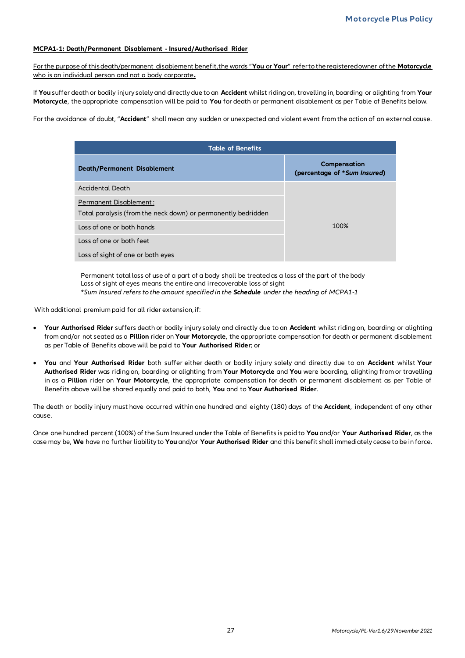#### **MCPA1-1: Death/Permanent Disablement - Insured/Authorised Rider**

For the purpose of this death/permanent disablement benefit, the words "**You** or **Your**" refer to the registered owner of the **Motorcycle** who is an individual person and not a body corporate**.**

If **You** suffer death or bodily injury solely and directly due to an **Accident** whilst riding on, travelling in, boarding or alighting from **Your Motorcycle**, the appropriate compensation will be paid to **You** for death or permanent disablement as per Table of Benefits below.

For the avoidance of doubt, "**Accident**" shall mean any sudden or unexpected and violent event from the action of an external cause.

| <b>Table of Benefits</b>                                      |                                              |  |
|---------------------------------------------------------------|----------------------------------------------|--|
| <b>Death/Permanent Disablement</b>                            | Compensation<br>(percentage of *Sum Insured) |  |
| Accidental Death                                              |                                              |  |
| Permanent Disablement:                                        |                                              |  |
| Total paralysis (from the neck down) or permanently bedridden |                                              |  |
| Loss of one or both hands                                     | 100%                                         |  |
| Loss of one or both feet                                      |                                              |  |
| Loss of sight of one or both eyes                             |                                              |  |

Permanent total loss of use of a part of a body shall be treated as a loss of the part of the body Loss of sight of eyes means the entire and irrecoverable loss of sight *\*Sum Insured refers to the amount specified in the Schedule under the heading of MCPA1-1*

With additional premium paid for all rider extension, if:

- **Your Authorised Rider** suffers death or bodily injury solely and directly due to an **Accident** whilst riding on, boarding or alighting from and/or not seated as a **Pillion** rider on **Your Motorcycle**, the appropriate compensation for death or permanent disablement as per Table of Benefits above will be paid to **Your Authorised Rider**; or
- **You** and **Your Authorised Rider** both suffer either death or bodily injury solely and directly due to an **Accident** whilst **Your Authorised Rider** was riding on, boarding or alighting from **Your Motorcycle** and **You** were boarding, alighting from or travelling in as a **Pillion** rider on **Your Motorcycle**, the appropriate compensation for death or permanent disablement as per Table of Benefits above will be shared equally and paid to both, **You** and to **Your Authorised Rider**.

The death or bodily injury must have occurred within one hundred and eighty (180) days of the **Accident**, independent of any other cause.

Once one hundred percent (100%) of the Sum Insured under the Table of Benefits is paid to **You** and/or **Your Authorised Rider**, as the case may be, **We** have no further liability to **You** and/or **Your Authorised Rider** and this benefit shall immediately cease to be in force.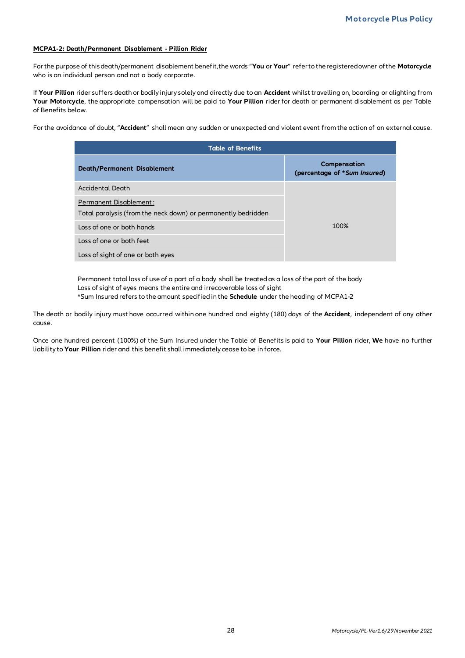#### **MCPA1-2: Death/Permanent Disablement - Pillion Rider**

For the purpose of this death/permanent disablement benefit, the words "**You** or **Your**" refer to the registered owner of the **Motorcycle** who is an individual person and not a body corporate.

If **Your Pillion** rider suffers death or bodily injury solely and directly due to an **Accident** whilst travelling on, boarding or alighting from **Your Motorcycle**, the appropriate compensation will be paid to **Your Pillion** rider for death or permanent disablement as per Table of Benefits below.

For the avoidance of doubt, "**Accident**" shall mean any sudden or unexpected and violent event from the action of an external cause.

| <b>Table of Benefits</b>                                      |                                              |  |  |
|---------------------------------------------------------------|----------------------------------------------|--|--|
| <b>Death/Permanent Disablement</b>                            | Compensation<br>(percentage of *Sum Insured) |  |  |
| Accidental Death                                              |                                              |  |  |
| Permanent Disablement:                                        |                                              |  |  |
| Total paralysis (from the neck down) or permanently bedridden |                                              |  |  |
| Loss of one or both hands                                     | 100%                                         |  |  |
| Loss of one or both feet                                      |                                              |  |  |
| Loss of sight of one or both eyes                             |                                              |  |  |

Permanent total loss of use of a part of a body shall be treated as a loss of the part of the body Loss of sight of eyes means the entire and irrecoverable loss of sight \*Sum Insured refers to the amount specified in the **Schedule** under the heading of MCPA1-2

The death or bodily injury must have occurred within one hundred and eighty (180) days of the **Accident**, independent of any other cause.

Once one hundred percent (100%) of the Sum Insured under the Table of Benefits is paid to **Your Pillion** rider, **We** have no further liability to **Your Pillion** rider and this benefit shall immediately cease to be in force.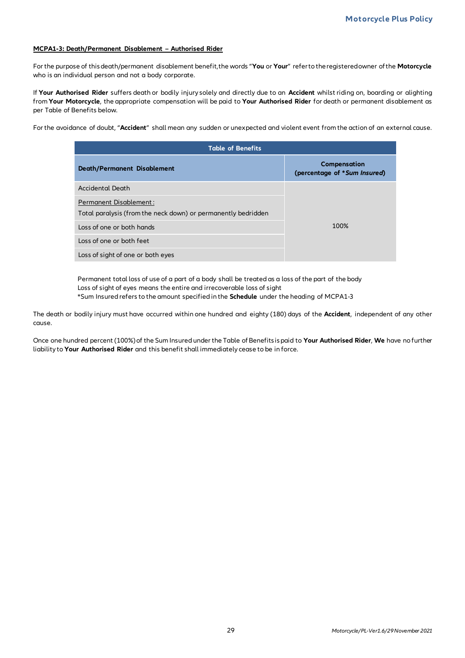#### **MCPA1-3: Death/Permanent Disablement – Authorised Rider**

For the purpose of this death/permanent disablement benefit, the words "**You** or **Your**" refer to the registered owner of the **Motorcycle** who is an individual person and not a body corporate.

If **Your Authorised Rider** suffers death or bodily injury solely and directly due to an **Accident** whilst riding on, boarding or alighting from **Your Motorcycle**, the appropriate compensation will be paid to **Your Authorised Rider** for death or permanent disablement as per Table of Benefits below.

For the avoidance of doubt, "**Accident**" shall mean any sudden or unexpected and violent event from the action of an external cause.

| <b>Table of Benefits</b>                                      |                                              |  |  |
|---------------------------------------------------------------|----------------------------------------------|--|--|
| <b>Death/Permanent Disablement</b>                            | Compensation<br>(percentage of *Sum Insured) |  |  |
| <b>Accidental Death</b>                                       |                                              |  |  |
| <b>Permanent Disablement:</b>                                 |                                              |  |  |
| Total paralysis (from the neck down) or permanently bedridden |                                              |  |  |
| Loss of one or both hands                                     | 100%                                         |  |  |
| Loss of one or both feet                                      |                                              |  |  |
| Loss of sight of one or both eyes                             |                                              |  |  |

Permanent total loss of use of a part of a body shall be treated as a loss of the part of the body Loss of sight of eyes means the entire and irrecoverable loss of sight \*Sum Insured refers to the amount specified in the **Schedule** under the heading of MCPA1-3

The death or bodily injury must have occurred within one hundred and eighty (180) days of the **Accident**, independent of any other cause.

Once one hundred percent (100%) of the Sum Insured under the Table of Benefits is paid to **Your Authorised Rider**, **We** have no further liability to **Your Authorised Rider** and this benefit shall immediately cease to be in force.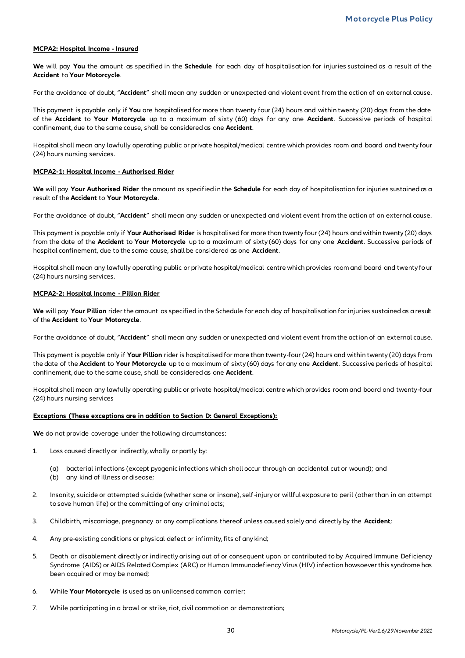#### **MCPA2: Hospital Income - Insured**

**We** will pay **You** the amount as specified in the **Schedule** for each day of hospitalisation for injuries sustained as a result of the **Accident** to **Your Motorcycle**.

For the avoidance of doubt, "**Accident**" shall mean any sudden or unexpected and violent event from the action of an external cause.

This payment is payable only if **You** are hospitalised for more than twenty four (24) hours and within twenty (20) days from the date of the **Accident** to **Your Motorcycle** up to a maximum of sixty (60) days for any one **Accident**. Successive periods of hospital confinement, due to the same cause, shall be considered as one **Accident**.

Hospital shall mean any lawfully operating public or private hospital/medical centre which provides room and board and twenty four (24) hours nursing services.

#### **MCPA2-1: Hospital Income - Authorised Rider**

**We** will pay **Your Authorised Rider** the amount as specified in the **Schedule** for each day of hospitalisation for injuries sustained as a result of the **Accident** to **Your Motorcycle**.

For the avoidance of doubt, "**Accident**" shall mean any sudden or unexpected and violent event from the action of an external cause.

This payment is payable only if **Your Authorised Rider** is hospitalised for more than twenty four (24) hours and within twenty (20) days from the date of the **Accident** to **Your Motorcycle** up to a maximum of sixty (60) days for any one **Accident**. Successive periods of hospital confinement, due to the same cause, shall be considered as one **Accident**.

Hospital shall mean any lawfully operating public or private hospital/medical centre which provides room and board and twenty four (24) hours nursing services.

#### **MCPA2-2: Hospital Income - Pillion Rider**

**We** will pay **Your Pillion** rider the amount as specified in the Schedule for each day of hospitalisation for injuries sustained as a result of the **Accident** to **Your Motorcycle**.

For the avoidance of doubt, "**Accident**" shall mean any sudden or unexpected and violent event from the action of an external cause.

This payment is payable only if **Your Pillion** rider is hospitalised for more than twenty-four (24) hours and within twenty (20) days from the date of the **Accident** to **Your Motorcycle** up to a maximum of sixty (60) days for any one **Accident**. Successive periods of hospital confinement, due to the same cause, shall be considered as one **Accident**.

Hospital shall mean any lawfully operating public or private hospital/medical centre which provides room and board and twenty-four (24) hours nursing services

#### **Exceptions (These exceptions are in addition to Section D: General Exceptions):**

**We** do not provide coverage under the following circumstances:

- 1. Loss caused directly or indirectly, wholly or partly by:
	- (a) bacterial infections (except pyogenic infections which shall occur through an accidental cut or wound); and
	- (b) any kind of illness or disease;
- 2. Insanity, suicide or attempted suicide (whether sane or insane), self-injury or willful exposure to peril (other than in an attempt to save human life) or the committing of any criminal acts;
- 3. Childbirth, miscarriage, pregnancy or any complications thereof unless caused solely and directly by the **Accident**;
- 4. Any pre-existing conditions or physical defect or infirmity, fits of any kind;
- 5. Death or disablement directly or indirectly arising out of or consequent upon or contributed to by Acquired Immune Deficiency Syndrome (AIDS) or AIDS Related Complex (ARC) or Human Immunodefiency Virus (HIV) infection howsoever this syndrome has been acquired or may be named;
- 6. While **Your Motorcycle** is used as an unlicensed common carrier;
- 7. While participating in a brawl or strike, riot, civil commotion or demonstration;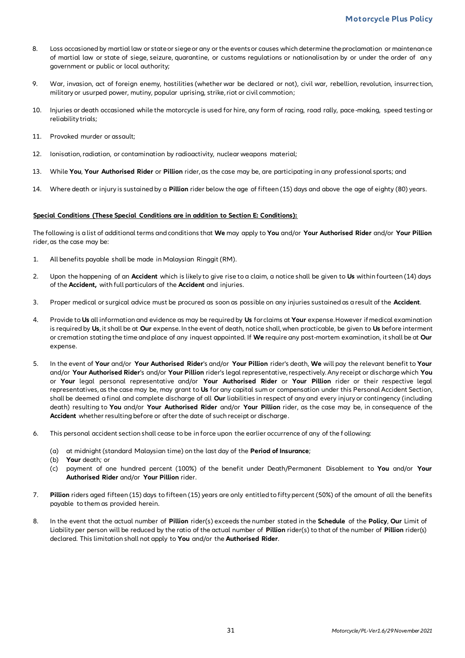- 8. Loss occasioned by martial law or state or siege or any or the events or causes which determine the proclamation or maintenance of martial law or state of siege, seizure, quarantine, or customs regulations or nationalisation by or under the order of an y government or public or local authority;
- 9. War, invasion, act of foreign enemy, hostilities (whether war be declared or not), civil war, rebellion, revolution, insurrec tion, military or usurped power, mutiny, popular uprising, strike, riot or civil commotion;
- 10. Injuries or death occasioned while the motorcycle is used for hire, any form of racing, road rally, pace -making, speed testing or reliability trials;
- 11. Provoked murder or assault;
- 12. Ionisation, radiation, or contamination by radioactivity, nuclear weapons material;
- 13. While **You**, **Your Authorised Rider** or **Pillion** rider, as the case may be, are participating in any professional sports; and
- 14. Where death or injury is sustained by a **Pillion** rider below the age of fifteen (15) days and above the age of eighty (80) years.

#### **Special Conditions (These Special Conditions are in addition to Section E: Conditions):**

The following is a list of additional terms and conditions that **We** may apply to **You** and/or **Your Authorised Rider** and/or **Your Pillion**  rider, as the case may be:

- 1. All benefits payable shall be made in Malaysian Ringgit (RM).
- 2. Upon the happening of an **Accident** which is likely to give rise to a claim, a notice shall be given to **Us** within fourteen (14) days of the **Accident,** with full particulars of the **Accident** and injuries.
- 3. Proper medical or surgical advice must be procured as soon as possible on any injuries sustained as a result of the **Accident**.
- 4. Provide to **Us** all information and evidence as may be required by **Us** for claims at **Your** expense. However if medical examination is required by **Us**, it shall be at **Our** expense. In the event of death, notice shall, when practicable, be given to **Us** before interment or cremation stating the time and place of any inquest appointed. If **We** require any post-mortem examination, it shall be at **Our** expense.
- 5. In the event of **Your** and/or **Your Authorised Rider**'s and/or **Your Pillion** rider's death, **We** will pay the relevant benefit to **Your** and/or **Your Authorised Rider**'s and/or **Your Pillion** rider's legal representative, respectively. Any receipt or discharge which **You** or **Your** legal personal representative and/or **Your Authorised Rider** or **Your Pillion** rider or their respective legal representatives, as the case may be, may grant to **Us** for any capital sum or compensation under this Personal Accident Section, shall be deemed a final and complete discharge of all **Our** liabilities in respect of any and every injury or contingency (including death) resulting to **You** and/or **Your Authorised Rider** and/or **Your Pillion** rider, as the case may be, in consequence of the **Accident** whether resulting before or after the date of such receipt or discharge.
- 6. This personal accident section shall cease to be in force upon the earlier occurrence of any of the f ollowing:
	- (a) at midnight (standard Malaysian time) on the last day of the **Period of Insurance**;
	- (b) **Your** death; or
	- (c) payment of one hundred percent (100%) of the benefit under Death/Permanent Disablement to **You** and/or **Your Authorised Rider** and/or **Your Pillion** rider.
- 7. **Pillion** riders aged fifteen (15) days to fifteen (15) years are only entitled to fifty percent (50%) of the amount of all the benefits payable to them as provided herein.
- 8. In the event that the actual number of **Pillion** rider(s) exceeds the number stated in the **Schedule** of the **Policy**, **Our** Limit of Liability per person will be reduced by the ratio of the actual number of **Pillion** rider(s) to that of the number of **Pillion** rider(s) declared. This limitation shall not apply to **You** and/or the **Authorised Rider**.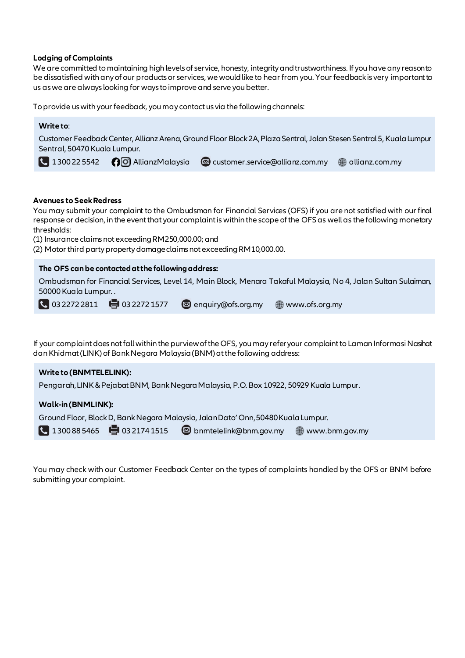#### **Lodging of Complaints**

We are committed to maintaining high levels of service, honesty, integrity and trustworthiness. If you have any reason to be dissatisfied with any of our products or services, we would like to hear from you. Your feedback is very important to us as we are always looking for ways to improve and serve you better.

To provide us with your feedback, you may contact us via the following channels:

#### **Write to**:

Customer Feedback Center, Allianz Arena, Ground Floor Block 2A, Plaza Sentral, Jalan Stesen Sentral 5, Kuala Lumpur Sentral, 50470 Kuala Lumpur.

1 300 22 5542 <br> **4** 1300 22 5542 <br> **4** O Allianz Malaysia <br> **8** customer.service@allianz.com.my <br>
allianz.com.my

#### **Avenues to Seek Redress**

You may submit your complaint to the Ombudsman for Financial Services (OFS) if you are not satisfied with our final response or decision, in the event that your complaint is within the scope of the OFS as well as the following monetary thresholds:

(1) Insurance claims not exceeding RM250,000.00; and

(2) Motor third party property damage claims not exceeding RM10,000.00.

#### **The OFS can be contacted at the following address:**

Ombudsman for Financial Services, Level 14, Main Block, Menara Takaful Malaysia, No 4, Jalan Sultan Sulaiman, 50000 Kuala Lumpur. .

**4** 03 2272 2811 **de** 03 2272 1577 **e** enquiry@ofs.org.my **e** www.ofs.org.my

If your complaint does not fall within the purview of the OFS, you may refer your complaint to Laman Informasi Nasihat dan Khidmat (LINK) of Bank Negara Malaysia (BNM) at the following address:

#### **Write to (BNMTELELINK):**

Pengarah, LINK & Pejabat BNM, Bank Negara Malaysia, P.O. Box 10922, 50929 Kuala Lumpur.

#### **Walk-in (BNMLINK):**

Ground Floor, Block D, Bank Negara Malaysia, Jalan Dato' Onn, 50480 Kuala Lumpur.

 $\bigcup$  1 300 88 5465  $\bigoplus$  03 2174 1515  $\bigotimes$  bnmtelelink@bnm.gov.my  $\bigoplus$  www.bnm.gov.my

You may check with our Customer Feedback Center on the types of complaints handled by the OFS or BNM before submitting your complaint.